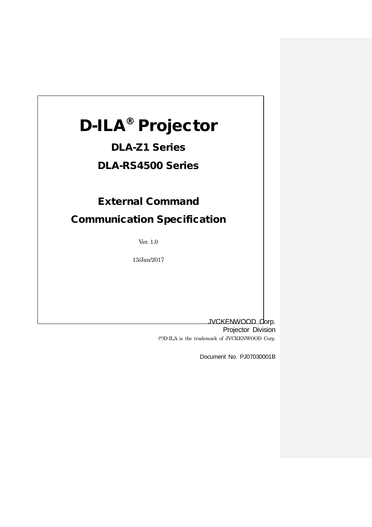# D-ILA® Projector

## DLA-Z1 Series

DLA-RS4500 Series

## External Command

Communication Specification

Ver. 1.0

13/Jan/2017

JVCKENWOOD Corp.

Projector Division (\*)D-ILA is the trademark of JVCKENWOOD Corp.

Document No. PJ07030001B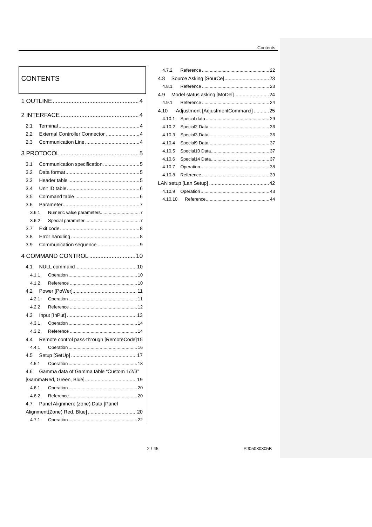## Contents

## **CONTENTS**

 $\mathbf{I}$ 

| 2.1   |       |                                                |
|-------|-------|------------------------------------------------|
| 2.2   |       | External Controller Connector 4                |
| 2.3   |       |                                                |
|       |       |                                                |
| 3.1   |       | Communication specification5                   |
| 3.2   |       |                                                |
| 3.3   |       |                                                |
| 3.4   |       |                                                |
| 3.5   |       |                                                |
| 3.6   |       |                                                |
| 3.6.1 |       |                                                |
| 3.6.2 |       |                                                |
| 3.7   |       |                                                |
| 3.8   |       |                                                |
| 3.9   |       |                                                |
|       |       | 4 COMMAND CONTROL  10                          |
| 4.1   |       |                                                |
|       | 4.1.1 |                                                |
| 4.1.2 |       |                                                |
|       |       |                                                |
| 4.2.1 |       |                                                |
| 4.2.2 |       |                                                |
| 4.3   |       |                                                |
| 4.3.1 |       |                                                |
| 4.3.2 |       |                                                |
|       |       | 4.4 Remote control pass-through [RemoteCode]15 |
| 4.4.1 |       |                                                |
|       |       |                                                |
|       | 4.5.1 |                                                |
| 4.6   |       | Gamma data of Gamma table "Custom 1/2/3"       |
|       |       |                                                |
| 4.6.1 |       |                                                |
| 4.6.2 |       |                                                |
| 4.7   |       | Panel Alignment (zone) Data [Panel             |
|       |       |                                                |
|       |       |                                                |

| 4.7.2  |                                  |  |
|--------|----------------------------------|--|
| 4.8    |                                  |  |
| 481    |                                  |  |
| 4.9    | Model status asking [MoDel]24    |  |
| 4.9.1  |                                  |  |
| 4.10   | Adjustment [AdjustmentCommand]25 |  |
| 4.10.1 |                                  |  |
| 4.10.2 |                                  |  |
| 4.10.3 |                                  |  |
| 4.10.4 |                                  |  |
| 4.10.5 |                                  |  |
| 4.10.6 |                                  |  |
| 4.10.7 |                                  |  |
| 4.10.8 |                                  |  |
|        |                                  |  |
| 4.10.9 |                                  |  |
|        |                                  |  |

PJ05030305B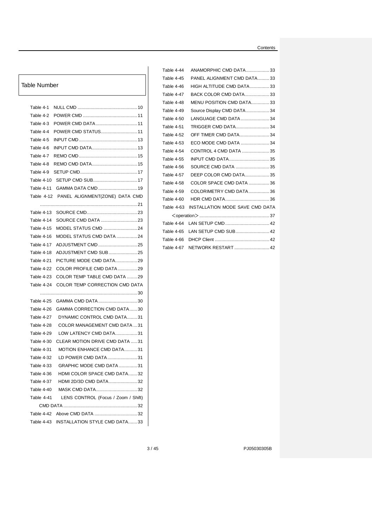#### Contents

## Table Number

| Table 4-1         |                                     |
|-------------------|-------------------------------------|
| Table 4-2         |                                     |
| Table 4-3         |                                     |
| Table 4-4         | POWER CMD STATUS11                  |
| Table 4-5         |                                     |
| Table 4-6         |                                     |
| Table 4-7         |                                     |
| Table 4-8         |                                     |
| Table 4-9         |                                     |
| Table 4-10        | SETUP CMD SUB17                     |
|                   | GAMMA DATA CMD 19                   |
| Table 4-11        |                                     |
| Table 4-12        | PANEL ALIGNMENT(ZONE) DATA CMD      |
|                   |                                     |
| <b>Table 4-13</b> |                                     |
| Table 4-14        |                                     |
| Table 4-15        | MODEL STATUS CMD 24                 |
| Table 4-16        | MODEL STATUS CMD DATA 24            |
| Table 4-17        | ADJUSTMENT CMD 25                   |
| Table 4-18        | ADJUSTMENT CMD SUB25                |
| Table 4-21        | PICTURE MODE CMD DATA29             |
| Table 4-22        | COLOR PROFILE CMD DATA29            |
| Table 4-23        | COLOR TEMP TABLE CMD DATA 29        |
| Table 4-24        | COLOR TEMP CORRECTION CMD DATA      |
|                   |                                     |
| Table 4-25        | GAMMA CMD DATA30                    |
| Table 4-26        | GAMMA CORRECTION CMD DATA30         |
| Table 4-27        | DYNAMIC CONTROL CMD DATA31          |
| Table 4-28        | <b>COLOR MANAGEMENT CMD DATA 31</b> |
| Table 4-29        | LOW LATENCY CMD DATA31              |
| Table 4-30        | CLEAR MOTION DRIVE CMD DATA 31      |
| Table 4-31        | MOTION ENHANCE CMD DATA31           |
| Table 4-32        | LD POWER CMD DATA31                 |
| Table 4-33        | GRAPHIC MODE CMD DATA 31            |
| Table 4-36        | HDMI COLOR SPACE CMD DATA32         |
| Table 4-37        | HDMI 2D/3D CMD DATA32               |
| Table 4-40        | MASK CMD DATA32                     |
| Table 4-41        | LENS CONTROL (Focus / Zoom / Shift) |
|                   |                                     |
| Table 4-42        |                                     |
| Table 4-43        | INSTALLATION STYLE CMD DATA33       |

| Table 4-44        | ANAMORPHIC CMD DATA33           |  |
|-------------------|---------------------------------|--|
| Table 4-45        | PANEL ALIGNMENT CMD DATA 33     |  |
| Table 4-46        | HIGH ALTITUDE CMD DATA33        |  |
| Table 4-47        | BACK COLOR CMD DATA33           |  |
| Table 4-48        | MENU POSITION CMD DATA33        |  |
| Table 4-49        | Source Display CMD DATA34       |  |
| <b>Table 4-50</b> | LANGUAGE CMD DATA34             |  |
| Table 4-51        | TRIGGER CMD DATA34              |  |
| Table 4-52        | <b>OFF TIMER CMD DATA34</b>     |  |
| <b>Table 4-53</b> | ECO MODE CMD DATA  34           |  |
| Table 4-54        | CONTROL 4 CMD DATA 35           |  |
| <b>Table 4-55</b> | <b>INPUT CMD DATA35</b>         |  |
| Table 4-56        | SOURCE CMD DATA  35             |  |
| Table 4-57        | DEEP COLOR CMD DATA35           |  |
| Table 4-58        | COLOR SPACE CMD DATA 36         |  |
| Table 4-59        | COLORIMETRY CMD DATA36          |  |
| <b>Table 4-60</b> |                                 |  |
| Table 4-63        | INSTALLATION MODE SAVE CMD DATA |  |
|                   |                                 |  |
| Table 4-64        |                                 |  |
| Table 4-65        |                                 |  |
| Table 4-66        |                                 |  |
| Table 4-67        | <b>NETWORK RESTART</b> 42       |  |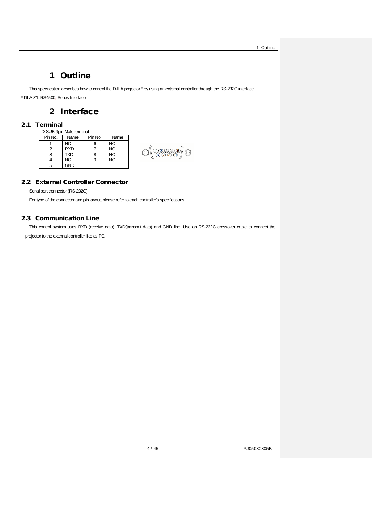1 Outline

## 1 Outline

<span id="page-3-0"></span>This specification describes how to control the D-ILA projector \* by using an external controller through the RS-232C interface.

<span id="page-3-1"></span>\* DLA-Z1, RS4500, Series Interface

## 2 Interface

## <span id="page-3-2"></span>2.1 Terminal

| D-SUB 9pin Male terminal |            |         |      |         |
|--------------------------|------------|---------|------|---------|
| Pin No.                  | Name       | Pin No. | Name |         |
|                          | ΝC         |         | NС   |         |
|                          | <b>RXD</b> |         | ΝC   | Б<br>4. |
|                          | TXD        |         | ΝC   | v.      |
|                          | <b>NC</b>  |         | NC   |         |
| 5                        | GND        |         |      |         |

## <span id="page-3-3"></span>2.2 External Controller Connector

Serial port connector (RS-232C)

For type of the connector and pin layout, please refer to each controller's specifications.

## <span id="page-3-4"></span>2.3 Communication Line

This control system uses RXD (receive data), TXD(transmit data) and GND line. Use an RS-232C crossover cable to connect the projector to the external controller like as PC.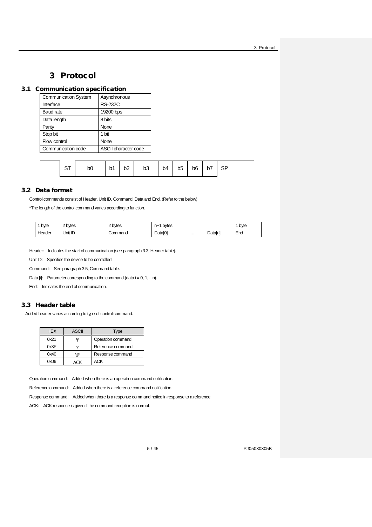3 Protocol

## 3 Protocol

## <span id="page-4-1"></span><span id="page-4-0"></span>3.1 Communication specification

| <b>Communication System</b> | Asynchronous         |  |
|-----------------------------|----------------------|--|
| Interface                   | <b>RS-232C</b>       |  |
| Baud rate                   | 19200 bps            |  |
| Data length                 | 8 bits               |  |
| Parity                      | None                 |  |
| Stop bit                    | 1 bit                |  |
| Flow control                | None                 |  |
| Communication code          | ASCII character code |  |
|                             |                      |  |

|  |  | $\mathsf{b}$ 1 | b2 | $b3$ $b4$ |  |  | $b5$ $b6$ $b7$ |  |  |  |
|--|--|----------------|----|-----------|--|--|----------------|--|--|--|
|--|--|----------------|----|-----------|--|--|----------------|--|--|--|

## <span id="page-4-2"></span>3.2 Data format

Control commands consist of Header, Unit ID, Command, Data and End. (Refer to the below)

\*The length of the control command varies according to function.

| byte  | : bytes | ovtes | η+<br>pyres        | ---------------<br>. |                  | byte     |
|-------|---------|-------|--------------------|----------------------|------------------|----------|
| eader | Unit ID | нанч  | <b>PA</b><br>า^+^I | .                    | $-1.3$<br>Daldii | -<br>End |

Header: Indicates the start of communication (see paragraph 3.3, Header table).

Unit ID: Specifies the device to be controlled.

Command: See paragraph 3.5, Command table.

Data  $[i]$ : Parameter corresponding to the command (data  $i = 0, 1, ., n$ ).

End: Indicates the end of communication.

## <span id="page-4-3"></span>3.3 Header table

Added header varies according to type of control command.

| <b>HEX</b> | <b>ASCII</b> | Type              |
|------------|--------------|-------------------|
| 0x21       | Ψ.           | Operation command |
| 0x3F       | ירי          | Reference command |
| 0x40       | '@'          | Response command  |
| 0x06       | ACK          | ACK               |

Operation command: Added when there is an operation command notification.

Reference command: Added when there is a reference command notification.

Response command: Added when there is a response command notice in response to a reference.

ACK: ACK response is given if the command reception is normal.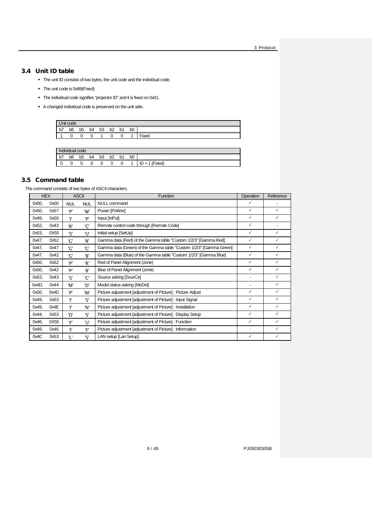3 Protocol

## <span id="page-5-0"></span>3.4 Unit ID table

- The unit ID consists of two bytes, the unit code and the individual code.
- The unit code is 0x89(Fixed)
- The individual code signifies "projector ID" and it is fixed on 0x01.
- A changed individual code is preserved on the unit side.

| Unit code                                   |                |                |                |                |                |    |                |                    |  |  |
|---------------------------------------------|----------------|----------------|----------------|----------------|----------------|----|----------------|--------------------|--|--|
| $\overline{\phantom{a}}$<br>$b\overline{7}$ | b <sub>6</sub> | b <sub>5</sub> | b <sub>4</sub> | b <sub>3</sub> | b <sub>2</sub> | b1 | b <sub>0</sub> |                    |  |  |
|                                             | v              |                | ັ              |                | ັ              | ັ  |                | $- \cdot$<br>™ixed |  |  |

| $\cdots$<br>Individual code |                |                |    |    |    |    |                |                      |  |
|-----------------------------|----------------|----------------|----|----|----|----|----------------|----------------------|--|
| トラ<br>D1                    | b <sub>6</sub> | b <sub>5</sub> | b4 | b3 | b2 | b1 | b <sub>0</sub> |                      |  |
| ∼                           | ັ              | 0              | ັ  | ◡  | C  | ◡  |                | (Fixed)<br>ID<br>$=$ |  |

## <span id="page-5-1"></span>3.5 Command table

The command consists of two bytes of ASCII characters.

|          | <b>HEX</b> |            | <b>ASCII</b> | Function                                                           | Operation    | Reference    |
|----------|------------|------------|--------------|--------------------------------------------------------------------|--------------|--------------|
| 0x00,    | 0x00       | <b>NUL</b> | <b>NUL</b>   | <b>NULL command</b>                                                | ✓            |              |
| 0x50,    | 0x57       | 'P'        | 'W'          | Power [PoWer]                                                      | $\checkmark$ | $\checkmark$ |
| 0x49,    | 0x50       | Ŧ          | 'P'          | Input [InPut]                                                      | $\checkmark$ | $\checkmark$ |
| 0x52,    | 0x43       | 'R'        | 'C'          | Remote control code through [Remote Code]                          | $\checkmark$ |              |
| 0x53,    | 0X55       | ירי        | 'nΓ          | Initial setup [SetUp]                                              | $\checkmark$ | $\checkmark$ |
| 0x47,    | 0x52       | 'G'        | 'R'          | Gamma data (Red) of the Gamma table "Custom 1/2/3" [Gamma Red]     | $\checkmark$ | $\checkmark$ |
| 0x47,    | 0x47       | 'ር'        | 'G'          | Gamma data (Green) of the Gamma table "Custom 1/2/3" [Gamma Green] | $\checkmark$ | $\checkmark$ |
| 0x47,    | 0x42       | 'G'        | 'B'          | Gamma data (Blue) of the Gamma table "Custom 1/2/3" [Gamma Blue]   | ✓            | $\checkmark$ |
| 0x50,    | 0x52       | 'p'        | 'R'          | Red of Panel Alignment (zone)                                      | $\checkmark$ | $\checkmark$ |
| 0x50,    | 0x42       | 'p'        | R            | Blue of Panel Alignment (zone)                                     | $\checkmark$ | $\checkmark$ |
| 0x53,    | 0x43       | ירי        | 'C'          | Source asking [SourCe]                                             | -            | $\checkmark$ |
| $0x4D$ , | 0x44       | 'M'        | יחי          | Model status asking [MoDel]                                        | -            | $\checkmark$ |
| 0x50,    | 0x4D       | 'P'        | 'M'          | Picture adjustment [adjustment of Picture] : Picture Adjust        | $\checkmark$ | $\checkmark$ |
| 0x49,    | 0x53       | Ŧ          | ירי          | Picture adjustment [adjustment of Picture] : Input Signal          | $\checkmark$ | $\checkmark$ |
| 0x49,    | 0x4E       | Ŧ          | 'N'          | Picture adjustment [adjustment of Picture] : Installation          | $\checkmark$ | $\checkmark$ |
| 0x44,    | 0x53       | 'D'        | 'S'          | Picture adjustment [adjustment of Picture] : Display Setup         | ✓            | $\checkmark$ |
| 0x46,    | 0X55       | 'F'        | 'nΓ          | Picture adjustment [adjustment of Picture] : Function              | $\checkmark$ | $\checkmark$ |
| 0x49,    | 0x46       | Ŧ          | 'F'          | Picture adjustment [adjustment of Picture] : Information           |              | $\checkmark$ |
| 0x4C     | 0x53       | Έ          | ירי          | LAN setup [Lan Setup]                                              | ✓            | ✓            |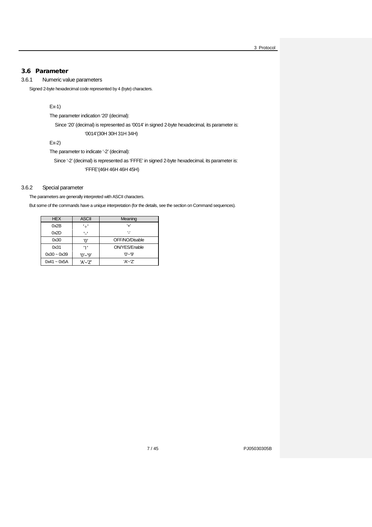## <span id="page-6-0"></span>3.6 Parameter

## <span id="page-6-1"></span>3.6.1 Numeric value parameters

Signed 2-byte hexadecimal code represented by 4 (byte) characters.

### Ex-1)

The parameter indication '20' (decimal):

Since '20'(decimal) is represented as '0014' in signed 2-byte hexadecimal, its parameter is: '0014'(30H 30H 31H 34H)

Ex-2)

The parameter to indicate '-2' (decimal):

Since '-2' (decimal) is represented as 'FFFE' in signed 2-byte hexadecimal, its parameter is: 'FFFE'(46H 46H 46H 45H)

## <span id="page-6-2"></span>3.6.2 Special parameter

The parameters are generally interpreted with ASCII characters.

But some of the commands have a unique interpretation (for the details, see the section on Command sequences).

| <b>HEX</b>    | <b>ASCII</b> | Meaning        |
|---------------|--------------|----------------|
| 0x2B          | '+'          | Ή,             |
| 0x2D          | υ,           | Ψ              |
| 0x30          | 'ח'          | OFF/NO/Disable |
| 0x31          | י די         | ON/YES/Enable  |
| $0x30 - 0x39$ | $'0'$ ~'9'   | $'0'$ ~'9'     |
| $0x41 - 0x5A$ | 'A'~'7'      | 'A'~'Z'        |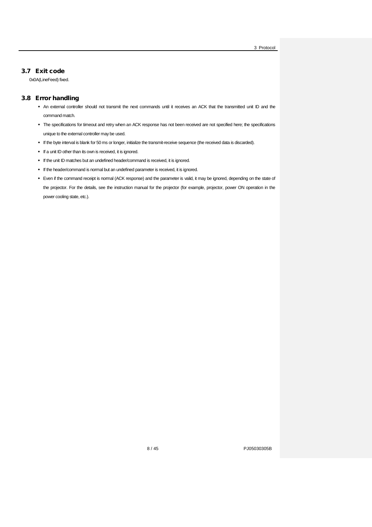## <span id="page-7-0"></span>3.7 Exit code

0x0A(LineFeed) fixed.

#### <span id="page-7-1"></span>3.8 Error handling

- An external controller should not transmit the next commands until it receives an ACK that the transmitted unit ID and the command match.
- The specifications for timeout and retry when an ACK response has not been received are not specified here; the specifications unique to the external controller may be used.
- If the byte interval is blank for 50 ms or longer, initialize the transmit-receive sequence (the received data is discarded).
- $\bullet$  If a unit ID other than its own is received, it is ignored.
- If the unit ID matches but an undefined header/command is received, it is ignored.
- If the header/command is normal but an undefined parameter is received, it is ignored.
- Even if the command receipt is normal (ACK response) and the parameter is valid, it may be ignored, depending on the state of the projector. For the details, see the instruction manual for the projector (for example, projector, power ON operation in the power cooling state, etc.).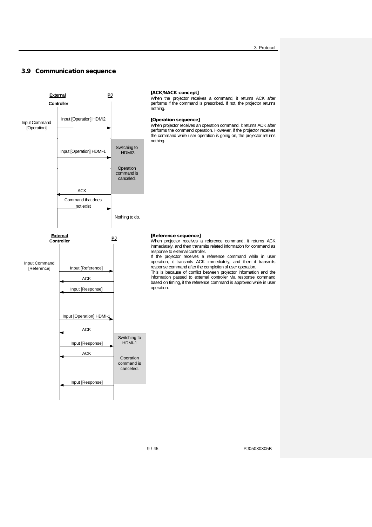## <span id="page-8-0"></span>3.9 Communication sequence

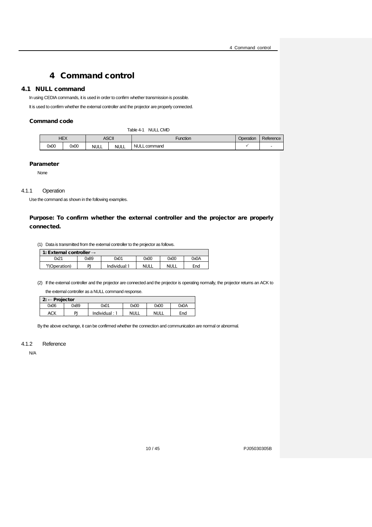## 4 Command control

## <span id="page-9-1"></span><span id="page-9-0"></span>4.1 NULL command

In using CEDIA commands, it is used in order to confirm whether transmission is possible.

It is used to confirm whether the external controller and the projector are properly connected.

#### Command code

<span id="page-9-4"></span>Table 4-1 NULL CMD

|      | HEX  |             | ASCII       | Function         | Operation | Reference |
|------|------|-------------|-------------|------------------|-----------|-----------|
| 0x00 | 0x00 | <b>NULL</b> | <b>NULL</b> | NULL.<br>command |           |           |

#### Parameter

None

#### <span id="page-9-2"></span>4.1.1 Operation

Use the command as shown in the following examples.

## Purpose: To confirm whether the external controller and the projector are properly connected.

(1) Data is transmitted from the external controller to the projector as follows.

| 1: External controller $\rightarrow$ |      |              |             |             |      |  |  |
|--------------------------------------|------|--------------|-------------|-------------|------|--|--|
| 0x21                                 | 0x89 | 0x01         | 0x00        | 0x00        | 0x0A |  |  |
| "!'(Operation)                       | ומ   | Individual:1 | <b>NULL</b> | <b>NULL</b> | End  |  |  |

(2) If the external controller and the projector are connected and the projector is operating normally, the projector returns an ACK to

the external controller as a NULL command response.

| $\vert 2: \leftarrow$ Projector |      |             |             |             |      |  |  |
|---------------------------------|------|-------------|-------------|-------------|------|--|--|
| 0x06                            | 0x89 | 0x01        | 0x00        | 0x00        | 0x0A |  |  |
| ACK                             | DI   | Individual: | <b>NULL</b> | <b>NULL</b> | End  |  |  |

By the above exchange, it can be confirmed whether the connection and communication are normal or abnormal.

#### <span id="page-9-3"></span>4.1.2 Reference

N/A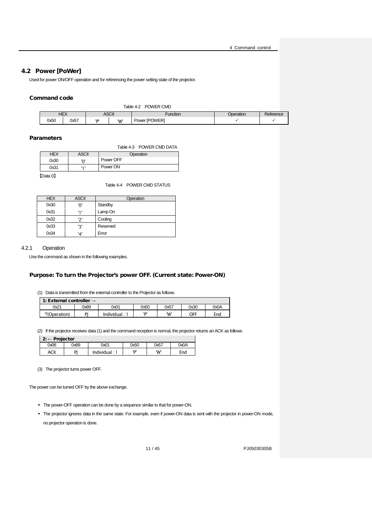## <span id="page-10-0"></span>4.2 Power [PoWer]

Used for power ON/OFF operation and for referencing the power setting state of the projector.

#### <span id="page-10-2"></span>Command code

| Table 4-2 POWER CMD |
|---------------------|
|                     |

| ס⊏   | JEV          |     | ASCII | ·unction                                  | <b>ration</b> | <b>ממנ</b><br>ਗ਼ਜ਼ ਲ਼ |
|------|--------------|-----|-------|-------------------------------------------|---------------|-----------------------|
| 0x50 | $- -$<br>0x5 | ירו | 'nV,  | <b>IPOWER</b><br>. OWP <sup>r</sup><br>-- |               |                       |

#### <span id="page-10-3"></span>Parameters

|            |              |           | Table 4-3 POWER CMD DATA |
|------------|--------------|-----------|--------------------------|
| <b>HEX</b> | <b>ASCII</b> |           | Operation                |
| 0x30       | יחי          | Power OFF |                          |
| 0x31       | 111          | Power ON  |                          |

<span id="page-10-4"></span>【Data 0】

Table 4-4 POWER CMD STATUS

| <b>HEX</b> | <b>ASCII</b> | Operation |
|------------|--------------|-----------|
| 0x30       | '0'          | Standby   |
| 0x31       | '1'          | Lamp On   |
| 0x32       | יכי          | Cooling   |
| 0x33       | '3'          | Reserved  |
| 0x34       | '4'          | Error     |

#### <span id="page-10-1"></span>4.2.1 Operation

Use the command as shown in the following examples.

## Purpose: To turn the Projector's power OFF. (Current state: Power-ON)

(1) Data is transmitted from the external controller to the Projector as follows.

| 1: External controller $\rightarrow$ |      |              |      |      |      |      |  |  |
|--------------------------------------|------|--------------|------|------|------|------|--|--|
| 0x21                                 | 0x89 | 0x01         | 0x50 | 0x57 | 0x30 | A0x0 |  |  |
| "!'(Operation)                       | DI   | Individual : | יחי  | 'W'  | OFF  | End  |  |  |

(2) If the projector receives data (1) and the command reception is normal, the projector returns an ACK as follows.

|      | $2: \leftarrow$ Projector |             |      |      |      |  |  |  |
|------|---------------------------|-------------|------|------|------|--|--|--|
| 0x06 | 0x89                      | 0x01        | 0x50 | 0x57 | 0x0A |  |  |  |
| ACK  | ΡI                        | Individual: | יחי  | 'W'  | End  |  |  |  |

(3) The projector turns power OFF.

The power can be turned OFF by the above exchange.

- The power-OFF operation can be done by a sequence similar to that for power-ON.
- The projector ignores data in the same state. For example, even if power-ON data is sent with the projector in power-ON mode, no projector operation is done.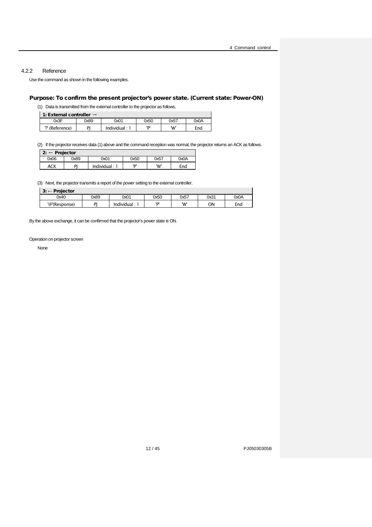#### <span id="page-11-0"></span>4.2.2 Reference

Use the command as shown in the following examples.

## Purpose: To confirm the present projector's power state. (Current state: Power-ON)

(1) Data is transmitted from the external controller to the projector as follows.

1: External controller →

| 0x3F<br>0x0A<br>0x01<br>0x50<br>0x57<br>0x89<br>יחי<br>ומ |                |                         |     |     |
|-----------------------------------------------------------|----------------|-------------------------|-----|-----|
|                                                           |                |                         |     |     |
|                                                           | ?' (Reference) | Individual <sup>.</sup> | 'W' | End |

(2) If the projector receives data (1) above and the command reception was normal, the projector returns an ACK as follows.

2: ← Projector

| .    | .    |             |      |      |      |
|------|------|-------------|------|------|------|
| 0x06 | 0x89 | 0x01        | 0x50 | 0x57 | 0x0A |
| ACK  | ים   | Individual: | ימי  | 'W'  | Enc  |

(3) Next, the projector transmits a report of the power setting to the external controller.

| $3: \leftarrow$ Projector |           |             |      |      |      |      |
|---------------------------|-----------|-------------|------|------|------|------|
| 0x40                      | 0x89      | 0x01        | 0x50 | 0x57 | 0x31 | 0x0A |
| '@'(Response)             | <b>DI</b> | Individual: | יחי  | 'W'  | OΝ   | End  |

By the above exchange, it can be confirmed that the projector's power state is ON.

Operation on projector screen

None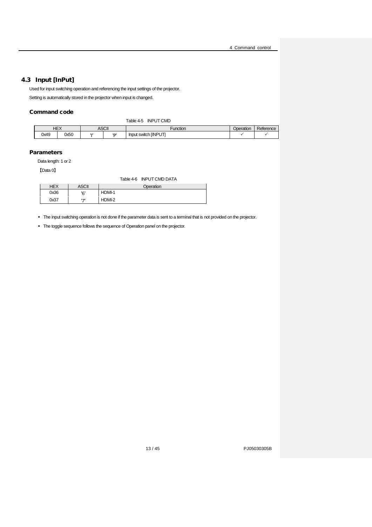## <span id="page-12-0"></span>4.3 Input [InPut]

Used for input switching operation and referencing the input settings of the projector. Setting is automatically stored in the projector when input is changed.

#### <span id="page-12-1"></span>Command code

|            | Table 4-5<br><b>INPUT CMD</b> |              |     |                      |           |           |  |
|------------|-------------------------------|--------------|-----|----------------------|-----------|-----------|--|
| <b>HEX</b> |                               | <b>ASCII</b> |     | Function             | Operation | Reference |  |
| 0x49       | 0x50                          | ш            | יחי | Input switch [INPUT] |           |           |  |

#### **Parameters**

Data length: 1 or 2

<span id="page-12-2"></span>【Data 0】

|            |              | Table 4-6 INPUT CMD DATA |
|------------|--------------|--------------------------|
| <b>HEX</b> | <b>ASCII</b> | Operation                |
| 0x36       | הי           | HDMI-1                   |
| 0x37       | ירי          | HDMI-2                   |

The input switching operation is not done if the parameter data is sent to a terminal that is not provided on the projector.

The toggle sequence follows the sequence of Operation panel on the projector.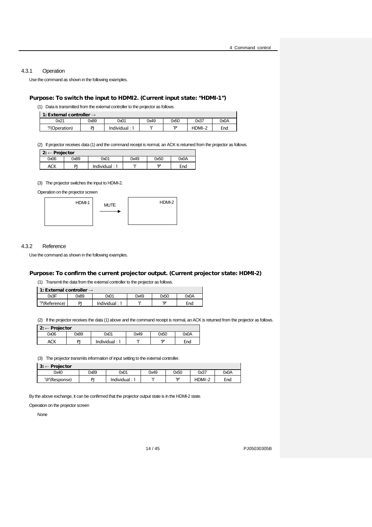Ť

#### <span id="page-13-0"></span>4.3.1 Operation

Use the command as shown in the following examples.

### Purpose: To switch the input to HDMI2. (Current input state: "HDMI-1")

(1) Data is transmitted from the external controller to the projector as follows.

| 1: External controller $\rightarrow$ |
|--------------------------------------|
|                                      |

| $\blacksquare$ . Later har controller $\rightarrow$ |      |            |      |      |          |      |  |
|-----------------------------------------------------|------|------------|------|------|----------|------|--|
| 0x21                                                | 0x89 | 0x01       | 0x49 | 0x50 | 0x37     | 0x0A |  |
| "!'(Operation)                                      | וח   | Individual | ш    | יםי  | $HDMI-z$ | End  |  |

(2) If projector receives data (1) and the command receipt is normal, an ACK is returned from the projector as follows.

| $2: \leftarrow$ Projector |
|---------------------------|
|---------------------------|

| $\mathbf{r}$ . $\mathbf{r}$ riggeon |      |             |      |      |      |  |
|-------------------------------------|------|-------------|------|------|------|--|
| 0x06                                | 0x89 | 0x01        | 0x49 | 0x50 | A0x0 |  |
| ACK                                 | ומ   | Individual: | ш    | יחי  | Enc  |  |

#### (3) The projector switches the input to HDMI-2.

Operation on the projector screen



#### <span id="page-13-1"></span>4.3.2 Reference

Use the command as shown in the following examples.

#### Purpose: To confirm the current projector output. (Current projector state: HDMI-2)

(1) Transmit the data from the external controller to the projector as follows.

| 1: External controller $\rightarrow$ |      |                 |      |      |      |  |  |
|--------------------------------------|------|-----------------|------|------|------|--|--|
| 0x3F                                 | 0x89 | 0x01            | 0x49 | 0x50 | 0x0A |  |  |
| ?'(Reference)                        | DI   | Individual: $'$ | ш    | יחי  | End  |  |  |

(2) If the projector receives the data (1) above and the command receipt is normal, an ACK is returned from the projector as follows.

| $2: \leftarrow$ Projector |      |             |      |      |      |  |  |
|---------------------------|------|-------------|------|------|------|--|--|
| 0x06                      | 0x89 | 0x01        | 2x49 | 0x50 | 0x0A |  |  |
| ACK                       | DI   | Individual: | ш    | יחי  | End  |  |  |

(3) The projector transmits information of input setting to the external controller.

| $3: \leftarrow$ Projector |      |             |      |      |          |          |
|---------------------------|------|-------------|------|------|----------|----------|
| 0x40                      | 0x89 | 0x01        | 0x49 | 0x50 | 0x37     | 0x0A     |
| '@'(Response)             | DI   | Individual: | ш    | יחי  | $HDMI-z$ | -<br>End |

By the above exchange, it can be confirmed that the projector output state is in the HDMI-2 state.

#### Operation on the projector screen

None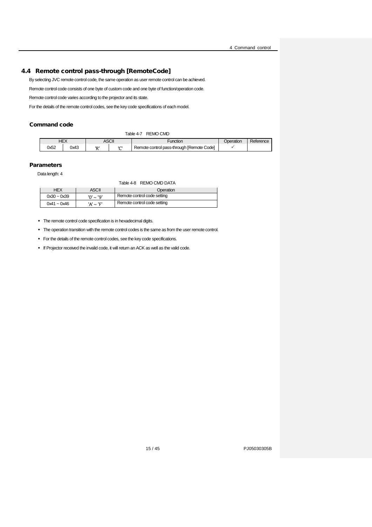## <span id="page-14-0"></span>4.4 Remote control pass-through [RemoteCode]

By selecting JVC remote control code, the same operation as user remote control can be achieved.

Remote control code consists of one byte of custom code and one byte of function/operation code.

Remote control code varies according to the projector and its state.

For the details of the remote control codes, see the key code specifications of each model.

#### <span id="page-14-1"></span>Command code

|      | Table 4-7<br>REMO CMD |           |  |                                           |           |           |  |
|------|-----------------------|-----------|--|-------------------------------------------|-----------|-----------|--|
|      | HEX                   | ASCII     |  | Function                                  | Dperation | Reference |  |
| 0x52 | 0x43                  | פי<br>ירו |  | Remote control pass-through [Remote Code] |           |           |  |

#### <span id="page-14-2"></span>**Parameters**

Data length: 4

Table 4-8 REMO CMD DATA

| <b>HEX</b>    | ASCII          | Operation                   |
|---------------|----------------|-----------------------------|
| $0x30 - 0x39$ | 'n' ~ '9'      | Remote control code setting |
| $0x41 - 0x46$ | $'A' \sim 'F'$ | Remote control code setting |

• The remote control code specification is in hexadecimal digits.

• The operation transition with the remote control codes is the same as from the user remote control.

- For the details of the remote control codes, see the key code specifications.
- If Projector received the invalid code, it will return an ACK as well as the valid code.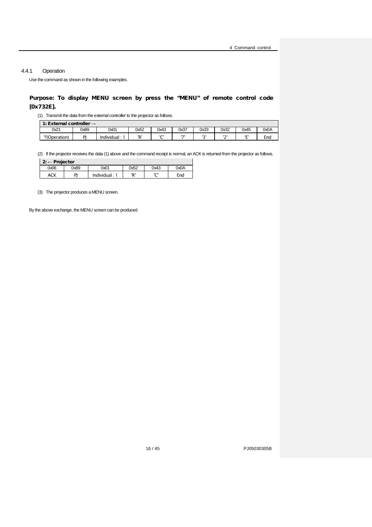## <span id="page-15-0"></span>4.4.1 Operation

Use the command as shown in the following examples.

## Purpose: To display MENU screen by press the "MENU" of remote control code [0x732E].

(1) Transmit the data from the external controller to the projector as follows.

| 1: External controller $\rightarrow$ |      |            |      |      |         |              |              |            |      |  |
|--------------------------------------|------|------------|------|------|---------|--------------|--------------|------------|------|--|
| 0x21                                 | 0x89 | 0x01       | 0x52 | 0x43 | 0x37    | 0x33         | 0x32         | 0x45       | 0x0A |  |
| 'I'(Operation)                       | DI   | Individual | ים!  | ימו  | $1 - 1$ | $\mathbf{I}$ | $\mathbf{I}$ | $\epsilon$ | End  |  |

(2) If the projector receives the data (1) above and the command receipt is normal, an ACK is returned from the projector as follows.

| $2: \leftarrow$ Projector |      |               |      |      |      |
|---------------------------|------|---------------|------|------|------|
| 0x06                      | 0x89 | 0x01          | 0x52 | 0x43 | 0x0A |
| ACK                       | P)   | Individual: 1 | 'R'  | ירו  | End  |

(3) The projector produces a MENU screen.

By the above exchange, the MENU screen can be produced.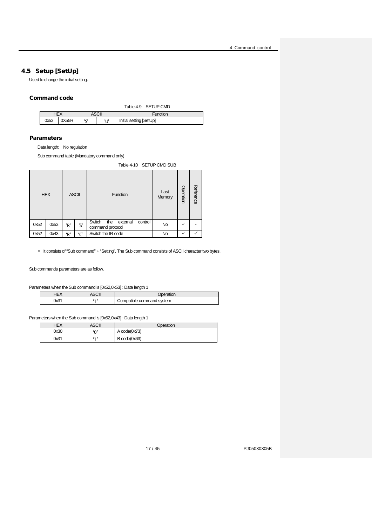## <span id="page-16-0"></span>4.5 Setup [SetUp]

Used to change the initial setting.

## <span id="page-16-1"></span>Command code

|      |              |       |              |          | Table 4-9 SETUP CMD     |
|------|--------------|-------|--------------|----------|-------------------------|
|      | HEX<br>ASCII |       |              | Function |                         |
| 0x53 |              | 0X55R | ירי<br>יו וי |          | Initial setting [SetUp] |

#### Parameters

Data length: No regulation

Sub command table (Mandatory command only)

Table 4-10 SETUP CMD SUB

<span id="page-16-2"></span>

|      | <b>HEX</b> |     | <b>ASCII</b> | Function                                                 | Last<br>Memory | Operation | Reference |
|------|------------|-----|--------------|----------------------------------------------------------|----------------|-----------|-----------|
| 0x52 | 0x53       | 'R' | 'S'          | Switch<br>the<br>control<br>external<br>command protocol | <b>No</b>      |           |           |
| 0x52 | 0x43       | 'R' | 'C'          | Switch the IR code                                       | No             |           |           |

It consists of "Sub command" + "Setting". The Sub command consists of ASCII character two bytes.

Sub commands parameters are as follow.

Parameters when the Sub command is [0x52,0x53] : Data length 1

|  | ation                     |
|--|---------------------------|
|  | Compatible command system |

Parameters when the Sub command is [0x52,0x43] : Data length 1

| HEX  | ASCII   | Operation    |
|------|---------|--------------|
| 0x30 | ده،     | A code(0x73) |
| 0x31 | $5 - 7$ | B code(0x63) |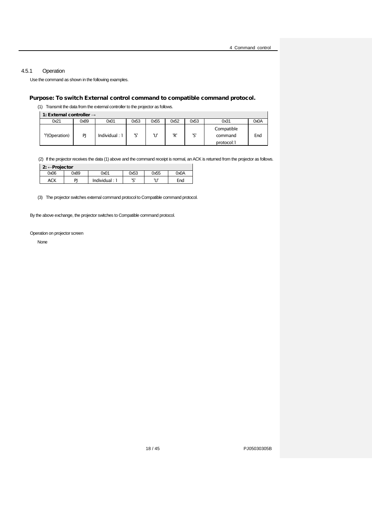$\overline{1}$ 

## <span id="page-17-0"></span>4.5.1 Operation

Use the command as shown in the following examples.

## Purpose: To switch External control command to compatible command protocol.

(1) Transmit the data from the external controller to the projector as follows.

1: External controller →

| 0x21           | 0x89 | 0x01             | 0x53 | 0x55  | 0x52 | 0x53     | 0x31                                | A0x0 |  |  |
|----------------|------|------------------|------|-------|------|----------|-------------------------------------|------|--|--|
| "!'(Operation) | PI   | Individual : $1$ | ירו  | יו וי | 'R'  | ימי<br>پ | Compatible<br>command<br>protocol:1 | End  |  |  |

(2) If the projector receives the data (1) above and the command receipt is normal, an ACK is returned from the projector as follows.

| $2: \leftarrow$ Projector |      |             |          |       |      |  |  |  |  |
|---------------------------|------|-------------|----------|-------|------|--|--|--|--|
| 0x06                      | 0x89 | 0x01        | 0x53     | 0x55  | 0x0A |  |  |  |  |
| ACK                       | DI   | Individual: | ירו<br>- | 11 IV | End  |  |  |  |  |

(3) The projector switches external command protocol to Compatible command protocol.

By the above exchange, the projector switches to Compatible command protocol.

#### Operation on projector screen

None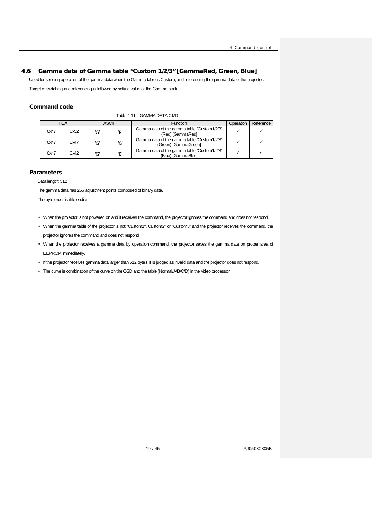## 4.6 Gamma data of Gamma table "Custom 1/2/3" [GammaRed, Green, Blue]

<span id="page-18-0"></span>Used for sending operation of the gamma data when the Gamma table is Custom, and referencing the gamma data of the projector.

Target of switching and referencing is followed by setting value of the Gamma bank.

## <span id="page-18-1"></span>Command code

| Table 4-11 GAMMA DATA CMD |
|---------------------------|
|                           |

|      | <b>HEX</b><br>ASCII |     |     | <b>Function</b>                                                      | Operation | Reference |
|------|---------------------|-----|-----|----------------------------------------------------------------------|-----------|-----------|
| 0x47 | 0x52                | 'ር' | 'R' | Gamma data of the gamma table "Custom 1/2/3"<br>(Red) [GammaRed]     |           |           |
| 0x47 | 0x47                | 'G' | 'ር' | Gamma data of the gamma table "Custom 1/2/3"<br>(Green) [GammaGreen] |           |           |
| 0x47 | 0x42                | הי  | 'B' | Gamma data of the gamma table "Custom 1/2/3"<br>(Blue) [GammaBlue]   |           |           |

#### **Parameters**

Data length: 512

The gamma data has 256 adjustment points composed of binary data.

The byte order is little endian.

- When the projector is not powered on and it receives the command, the projector ignores the command and does not respond.
- When the gamma table of the projector is not "Custom1","Custom2" or "Custom3" and the projector receives the command, the projector ignores the command and does not respond.
- When the projector receives a gamma data by operation command, the projector saves the gamma data on proper area of EEPROM immediately.
- If the projector receives gamma data larger than 512 bytes, it is judged as invalid data and the projector does not respond.
- The curve is combination of the curve on the OSD and the table (Normal/A/B/C/D) in the video processor.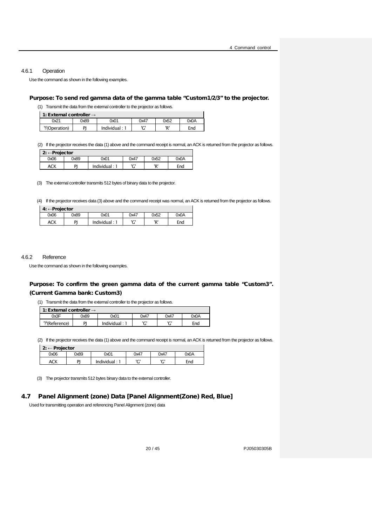#### <span id="page-19-0"></span>4.6.1 Operation

Use the command as shown in the following examples.

#### Purpose: To send red gamma data of the gamma table "Custom1/2/3" to the projector.

(1) Transmit the data from the external controller to the projector as follows.

| 1: External controller $\rightarrow$ |
|--------------------------------------|
|                                      |

| 0x21           | 0x89 | 0x01         | 0x47 | 0x52 | 0x0A |
|----------------|------|--------------|------|------|------|
| "!'(Operation) | ומ   | Individual : | ורו  | יםי  | End  |
|                |      |              |      |      |      |

(2) If the projector receives the data (1) above and the command receipt is normal, an ACK is returned from the projector as follows.

| $2: \leftarrow$ Projector |      |             |      |      |      |
|---------------------------|------|-------------|------|------|------|
| 0x06                      | 0x89 | 0x01        | 0x47 | 0x52 | 0x0A |
| ACK                       | DI   | Individual: | ירי  | 'R'  | End  |

(3) The external controller transmits 512 bytes of binary data to the projector.

(4) If the projector receives data (3) above and the command receipt was normal, an ACK is returned from the projector as follows.

| $4: \leftarrow$ Projector |      |             |          |      |      |
|---------------------------|------|-------------|----------|------|------|
| 0x06                      | 0x89 | 0x01        | 0x47     | 0x52 | 0x0A |
| <b>ACK</b>                | PI   | Individual: | ירו<br>u | יםי  | End  |

#### <span id="page-19-1"></span>4.6.2 Reference

Use the command as shown in the following examples.

## Purpose: To confirm the green gamma data of the current gamma table "Custom3". (Current Gamma bank: Custom3)

(1) Transmit the data from the external controller to the projector as follows.

1: External controller -

| $\blacksquare$ . Later in the control $\rightarrow$ |      |                |                |          |      |  |  |  |  |  |
|-----------------------------------------------------|------|----------------|----------------|----------|------|--|--|--|--|--|
| )x3F                                                | 0x89 | 0x01           | 0x47           | 0x47     | OxOA |  |  |  |  |  |
| '7'(Reference)                                      | וח   | lndividual : 1 | $\overline{ }$ | ירו<br>◡ | Enc  |  |  |  |  |  |
|                                                     |      |                |                |          |      |  |  |  |  |  |

(2) If the projector receives the data (1) above and the command receipt is normal, an ACK is returned from the projector as follows.

|      | 2: $\leftarrow$ Projector |             |      |          |      |  |  |  |  |  |  |  |  |
|------|---------------------------|-------------|------|----------|------|--|--|--|--|--|--|--|--|
| 0x06 | 0x89                      | 0x01        | 0x47 | 0x47     | A0x0 |  |  |  |  |  |  |  |  |
| ACK  | DI                        | Individual: | ירי  | ירי<br>u | End  |  |  |  |  |  |  |  |  |

(3) The projector transmits 512 bytes binary data to the external controller.

## 4.7 Panel Alignment (zone) Data [Panel Alignment(Zone) Red, Blue]

<span id="page-19-2"></span>Used for transmitting operation and referencing Panel Alignment (zone) data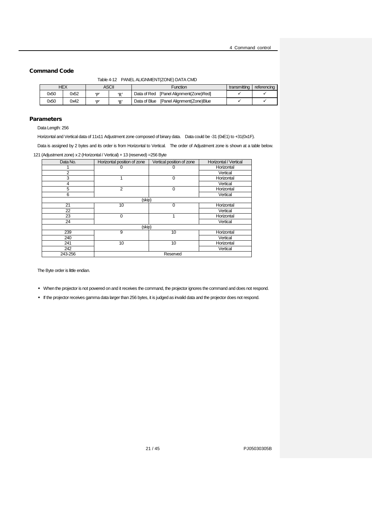#### <span id="page-20-0"></span>Command Code

Table 4-12 PANEL ALIGNMENT(ZONE) DATA CMD

|      | HEX  |              | ASCII | Function                                   | transmitting | referencing |
|------|------|--------------|-------|--------------------------------------------|--------------|-------------|
| 0x50 | 0x52 | $\mathbf{D}$ | D'    | [Panel Alignment(Zone)Red]<br>Data of Red  |              |             |
| 0x50 | 0x42 | $\mathbf{D}$ | P     | [Panel Alignment(Zone)Blue<br>Data of Blue |              |             |

#### Parameters

Data Length: 256

Horizontal and Vertical data of 11x11 Adjustment zone composed of binary data. Data could be -31 (0xE1) to +31(0x1F).

Data is assigned by 2 bytes and its order is from Horizontal to Vertical. The order of Adjustment zone is shown at a table below. 121 (Adjustment zone) x 2 (Horizontal / Vertical) + 13 (reserved) =256 Byte

| Data No.       | Horizontal position of zone | Vertical position of zone | Horizontal / Vertical |
|----------------|-----------------------------|---------------------------|-----------------------|
|                |                             |                           | Horizontal            |
| $\overline{2}$ |                             |                           | Vertical              |
| 3              |                             | $\Omega$                  | Horizontal            |
| 4              |                             |                           | Vertical              |
| 5              | $\overline{2}$              | $\Omega$                  | Horizontal            |
| 6              |                             |                           | Vertical              |
|                | (skip)                      |                           |                       |
| 21             | 10                          | 0                         | Horizontal            |
| 22             |                             |                           | Vertical              |
| 23             | $\Omega$                    |                           | Horizontal            |
| 24             |                             |                           | Vertical              |
|                | (skip)                      |                           |                       |
| 239            | 9                           | 10                        | Horizontal            |
| 240            |                             |                           | Vertical              |
| 241            | 10                          | 10                        | Horizontal            |
| 242            |                             |                           | Vertical              |
| 243-256        |                             | Reserved                  |                       |

The Byte order is little endian.

- When the projector is not powered on and it receives the command, the projector ignores the command and does not respond.
- If the projector receives gamma data larger than 256 bytes, it is judged as invalid data and the projector does not respond.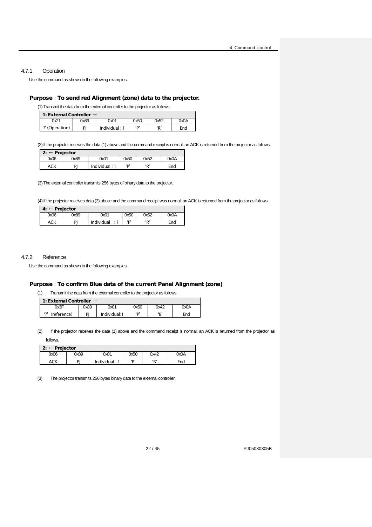#### <span id="page-21-0"></span>4.7.1 Operation

Use the command as shown in the following examples.

#### Purpose: To send red Alignment (zone) data to the projector.

(1)Transmit the data from the external controller to the projector as follows.

1: External Controller →

| $\sim$ 2010 $\sim$ 2010 $\sim$ |      |                         |      |      |      |  |  |  |  |  |
|--------------------------------|------|-------------------------|------|------|------|--|--|--|--|--|
| 21                             | 0x89 | 0x01                    | 0x50 | 0x52 | A0xC |  |  |  |  |  |
| '!' (Operation)                | וח   | lndividual <sup>1</sup> | D'   | D'   | End  |  |  |  |  |  |

(2) If the projector receives the data (1) above and the command receipt is normal, an ACK is returned from the projector as follows.

 $\overline{\phantom{a}}$ 

Ē,

| $2: \leftarrow$ Projector |      |      |      |      |      |  |  |
|---------------------------|------|------|------|------|------|--|--|
| 0x06                      | 0x89 | 0x01 | 0x50 | 0x52 | 0x0A |  |  |

(3)The external controller transmits 256 bytes of binary data to the projector.

ACK PJ Individual : 1 'P' 'R' End

(4) If the projector receives data (3) above and the command receipt was normal, an ACK is returned from the projector as follows.

| 4:   | Projector |            |      |      |      |  |  |  |  |  |  |  |  |
|------|-----------|------------|------|------|------|--|--|--|--|--|--|--|--|
| 0x06 | 0x89      | 0x01       | 0x50 | 0x52 | 0x0A |  |  |  |  |  |  |  |  |
| ACK  | DI        | Individual | ים'  | ʻD   | End  |  |  |  |  |  |  |  |  |

#### <span id="page-21-1"></span>4.7.2 Reference

Use the command as shown in the following examples.

#### Purpose: To confirm Blue data of the current Panel Alignment (zone)

(1) Transmit the data from the external controller to the projector as follows.

| 1: External Controller $\rightarrow$ |      |              |      |      |      |  |  |  |  |
|--------------------------------------|------|--------------|------|------|------|--|--|--|--|
| ንx3F                                 | 0x89 | 0x01         | 0x50 | 0x42 | 0x0A |  |  |  |  |
| (reference)                          | PI   | Individual:1 | יםי  | 'В'  | End  |  |  |  |  |

(2) If the projector receives the data (1) above and the command receipt is normal, an ACK is returned from the projector as

follows.

| $2: \leftarrow$ Projector |      |                  |      |      |      |  |  |  |  |
|---------------------------|------|------------------|------|------|------|--|--|--|--|
| 0x06                      | 0x89 | 0x01             | 0x50 | 0x42 | 0x0A |  |  |  |  |
| ACK                       | PI   | Individual : $1$ | D'   | 'B'  | End  |  |  |  |  |

(3) The projector transmits 256 bytes binary data to the external controller.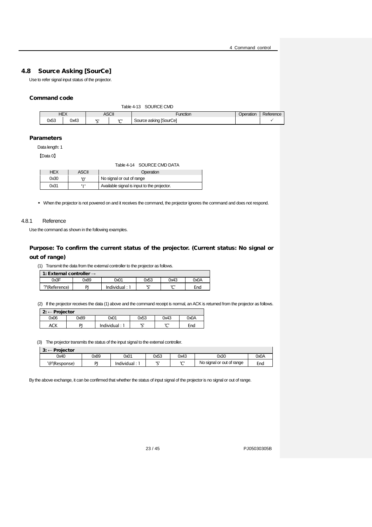## 4.8 Source Asking [SourCe]

<span id="page-22-0"></span>Use to refer signal input status of the projector.

#### <span id="page-22-2"></span>Command code

| <b>ASCII</b><br><b>HEX</b><br>Function<br>Operation<br>0x53<br>0x43<br>Source asking [SourCe]<br>$\sim$<br>ירו |  |  | Table 4-13 | SOURCE CMD |           |
|----------------------------------------------------------------------------------------------------------------|--|--|------------|------------|-----------|
|                                                                                                                |  |  |            |            | Reference |
|                                                                                                                |  |  |            |            |           |

#### Parameters

Data length: 1

<span id="page-22-3"></span>【Data 0】

|            |              | Table 4-14 SOURCE CMD DATA                  |
|------------|--------------|---------------------------------------------|
| <b>HEX</b> | <b>ASCII</b> | Operation                                   |
| 0x30       | 'ח'          | No signal or out of range                   |
| 0x31       | 171          | Available signal is input to the projector. |

• When the projector is not powered on and it receives the command, the projector ignores the command and does not respond.

#### <span id="page-22-1"></span>4.8.1 Reference

Use the command as shown in the following examples.

## Purpose: To confirm the current status of the projector. (Current status: No signal or out of range)

(1) Transmit the data from the external controller to the projector as follows.

| 1: External controller $\rightarrow$ |      |                 |      |      |      |  |  |  |
|--------------------------------------|------|-----------------|------|------|------|--|--|--|
| 0x3F                                 | 0x89 | 0x01            | 0x53 | 0x43 | 0x0A |  |  |  |
| ?'(Reference)                        | PI   | Individual: $1$ | ירו  | ירו  | End  |  |  |  |

(2) If the projector receives the data (1) above and the command receipt is normal, an ACK is returned from the projector as follows.

| - Projector<br>2: |      |             |          |      |      |  |  |  |
|-------------------|------|-------------|----------|------|------|--|--|--|
| 0x06              | 0x89 | 0x01        | 0x53     | 0x43 | 0x0A |  |  |  |
| ACK               | P    | Individual: | ימו<br>۰ | ירי  | End  |  |  |  |

(3) The projector transmits the status of the input signal to the external controller.

| $\mathbf{P}$<br>Projector<br>_<br>J. |      |             |                 |        |                           |      |
|--------------------------------------|------|-------------|-----------------|--------|---------------------------|------|
| 0x40                                 | 0x89 | 0x01        | 0x53            | 0x43   | 0x30                      | 0x0A |
| '@'(Response)                        | DI   | Individual: | IC <sup>'</sup> | $\sim$ | No signal or out of range | End  |

By the above exchange, it can be confirmed that whether the status of input signal of the projector is no signal or out of range.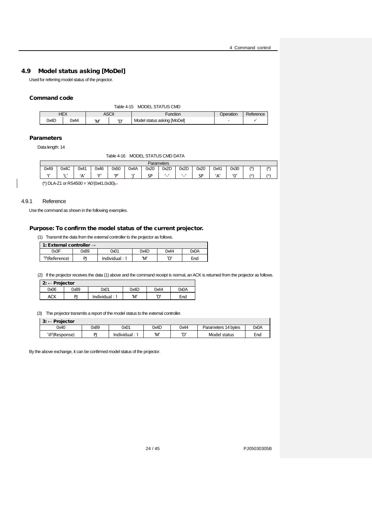## 4.9 Model status asking [MoDel]

<span id="page-23-0"></span>Used for referring model status of the projector.

#### <span id="page-23-2"></span>Command code

| <b>HEX</b><br>ASCII<br>Dperation<br>Function<br>ירי<br>$\overline{\phantom{0}}$ |      | MODEL STATUS CMD<br>Table 4-15 |     |  |                             |  |           |  |  |  |
|---------------------------------------------------------------------------------|------|--------------------------------|-----|--|-----------------------------|--|-----------|--|--|--|
|                                                                                 |      |                                |     |  |                             |  | Reference |  |  |  |
|                                                                                 | 0x4D | 0x44                           | 'M' |  | Model status asking [MoDel] |  |           |  |  |  |

#### <span id="page-23-3"></span>Parameters

Data length: 14

#### Table 4-16 MODEL STATUS CMD DATA

|      | Parameters |      |      |      |      |      |      |      |         |      |        |                |     |
|------|------------|------|------|------|------|------|------|------|---------|------|--------|----------------|-----|
| 0x49 | 0x4C       | 0x41 | 0x46 | 0x50 | 0x4A | 0x20 | 0x2D | 0x2D | 0x20    | 0x41 | 0x30   | $\overline{1}$ |     |
| 612  | "          | 'A'  | ٠c   | (D)  | 613  | SP   | . —  | '_'  | ςp<br>◡ | ۰Δ   | $\sim$ | /*             | /*) |
|      |            |      |      |      |      |      |      |      |         |      |        |                |     |

(\*) DLA-Z1 or RS4500 = 'A0'(0x41,0x30),-

#### <span id="page-23-1"></span>4.9.1 Reference

Use the command as shown in the following examples.

#### Purpose: To confirm the model status of the current projector.

(1) Transmit the data from the external controller to the projector as follows.

 $\frac{1}{1}$  1: External controlle

| $\blacksquare$ : External controller $\rightarrow$ |      |             |      |      |      |  |  |  |
|----------------------------------------------------|------|-------------|------|------|------|--|--|--|
| )x3F                                               | C8xC | 2x01        | 0x4D | 0x44 | 0x0A |  |  |  |
| ?'(Reference)                                      | DI   | Individual: | 'M'  | חי   | End  |  |  |  |

(2) If the projector receives the data (1) above and the command receipt is normal, an ACK is returned from the projector as follows.

| 2: $\leftarrow$ Projector |      |               |      |      |      |
|---------------------------|------|---------------|------|------|------|
| 0x06                      | 0x89 | 0x01          | 0x4D | 0x44 | 0x0A |
| ACK                       | DI   | Individual: 1 | 'M'  | 'D'  | End  |

(3) The projector transmits a report of the model status to the external controller.

| $3: \leftarrow$ Projector |      |              |      |      |                     |      |
|---------------------------|------|--------------|------|------|---------------------|------|
| 0x40                      | 0x89 | 0x01         | 0x4D | 0x44 | Parameters 14 bytes | 0x0A |
| '@'(Response)             | DI   | Individual : | 'M'  | ירי  | Model status        | End  |

By the above exchange, it can be confirmed model status of the projector.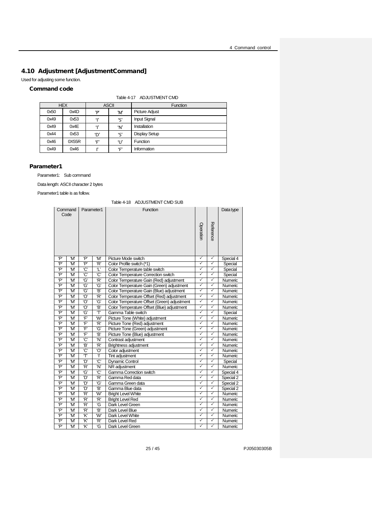## <span id="page-24-0"></span>4.10 Adjustment [AdjustmentCommand]

Used for adjusting some function.

## <span id="page-24-1"></span>Command code

|  | Table 4-17 ADJUSTMENT CMD |
|--|---------------------------|
|--|---------------------------|

|      | <b>HEX</b> |     | <b>ASCII</b> | <b>Function</b>       |  |
|------|------------|-----|--------------|-----------------------|--|
| 0x50 | 0x4D       | יסי | 'M'          | <b>Picture Adjust</b> |  |
| 0x49 | 0x53       | 412 | 'S'          | <b>Input Signal</b>   |  |
| 0x49 | 0x4E       | 41  | 'N'          | Installation          |  |
| 0x44 | 0x53       | 'D' | 'S'          | <b>Display Setup</b>  |  |
| 0x46 | 0X55R      | ʻF' | 'ሀ'          | Function              |  |
| 0x49 | 0x46       |     | 'F'          | Information           |  |

#### Parameter1

Parameter1: Sub command

Data length: ASCII character 2 bytes

<span id="page-24-2"></span>Parameter1 table is as follow.

#### Table 4-18 ADJUSTMENT CMD SUB

|     | Command<br>Code | Parameter1 |                | Function                                    |                         |              | Data type |
|-----|-----------------|------------|----------------|---------------------------------------------|-------------------------|--------------|-----------|
|     |                 |            |                |                                             | Operation               | Reference    |           |
| 'P  | 'M'             | P'         | ʻM             | Picture Mode switch                         | ✓                       | ✓            | Special 4 |
| P'  | 'M              | P'         | 'R'            | Color Profile switch (*1)                   | ✓                       | $\checkmark$ | Special   |
| 'P' | 'M'             | Ć          | T              | Color Temperature table switch              | ✓                       | $\checkmark$ | Special   |
| P'  | 'M'             | Ć          | Ć              | Color Temperature Correction switch         | $\overline{\checkmark}$ | ✓            | Special   |
| 'P' | 'M              | 'G'        | 'R'            | Color Temperature Gain (Red) adjustment     | ✓                       | ✓            | Numeric   |
| 'P' | 'M'             | Ġ,         | ʻG'            | Color Temperature Gain (Green) adjustment   | ✓                       | $\checkmark$ | Numeric   |
| 'P' | 'M'             | Ġ          | 'B'            | Color Temperature Gain (Blue) adjustment    | ✓                       | $\checkmark$ | Numeric   |
| 'P' | 'M'             | 'O'        | 'R'            | Color Temperature Offset (Red) adjustment   | ✓                       | ✓            | Numeric   |
| 'P' | 'M'             | 'O'        | ʻG'            | Color Temperature Offset (Green) adjustment | ✓                       | ✓            | Numeric   |
| 'P' | 'M              | 'O'        | Έ,             | Color Temperature Offset (Blue) adjustment  | ✓                       | ✓            | Numeric   |
| 'P' | 'M              | 'G'        | T              | Gamma Table switch                          | ✓                       | ✓            | Special   |
| 'P' | 'M              | Ē          | $\overline{W}$ | Picture Tone (White) adjustment             | $\overline{\checkmark}$ | $\checkmark$ | Numeric   |
| 'P' | 'M              | Ē          | 'R'            | Picture Tone (Red) adjustment               | ✓                       | ✓            | Numeric   |
| P'  | 'M'             | F          | 'G'            | Picture Tone (Green) adjustment             | ✓                       | ✓            | Numeric   |
| P'  | 'M              | F          | Đ,             | Picture Tone (Blue) adjustment              | $\checkmark$            | $\checkmark$ | Numeric   |
| P'  | 'M'             | Ć,         | 'N'            | Contrast adjustment                         | ✓                       | ✓            | Numeric   |
| P'  | 'M              | `B         | 'R'            | <b>Brightness adjustment</b>                | ✓                       | $\checkmark$ | Numeric   |
| P'  | 'M              | Ć,         | Ő              | Color adjustment                            | ✓                       | ✓            | Numeric   |
| P'  | 'M'             | T          | Ŧ              | Tint adjustment                             | ✓                       | ✓            | Numeric   |
| 'P' | 'M              | 'D'        | Ć              | <b>Dynamic Control</b>                      | $\overline{\checkmark}$ | $\checkmark$ | Special   |
| 'P' | 'M              | 'R'        | 'N'            | NR adjustment                               | ✓                       | ✓            | Numeric   |
| 'P' | 'M'             | Ġ,         | Ć,             | Gamma Correction switch                     | ✓                       | $\checkmark$ | Special 4 |
| 'P' | 'M'             | 'D'        | 'R'            | Gamma Red data                              | ✓                       | $\checkmark$ | Special 2 |
| 'P' | 'M'             | 'D'        | 'G'            | Gamma Green data                            | ✓                       | $\checkmark$ | Special 2 |
| 'P' | 'M'             | 'D'        | <b>'B'</b>     | Gamma Blue data                             | ✓                       | $\checkmark$ | Special 2 |
| P'  | 'M              | 'R'        | W'             | <b>Bright Level White</b>                   | $\checkmark$            | ✓            | Numeric   |
| P'  | 'M'             | R'         | 'R'            | <b>Bright Level Red</b>                     | ✓                       | ✓            | Numeric   |
| P'  | 'M              | R'         | 'G             | Dark Level Green                            | ✓                       | $\checkmark$ | Numeric   |
| P'  | 'M              | R'         | 'B'            | Dark Level Blue                             | ✓                       | $\checkmark$ | Numeric   |
| P'  | 'M              | K,         | 'W             | Dark Level White                            | ✓                       | ✓            | Numeric   |
| P'  | 'M              | 'K'        | 'R'            | Dark Level Red                              | $\overline{\checkmark}$ | $\checkmark$ | Numeric   |
| 'P' | 'M              | K,         | 'G             | Dark Level Green                            | ✓                       | ✓            | Numeric   |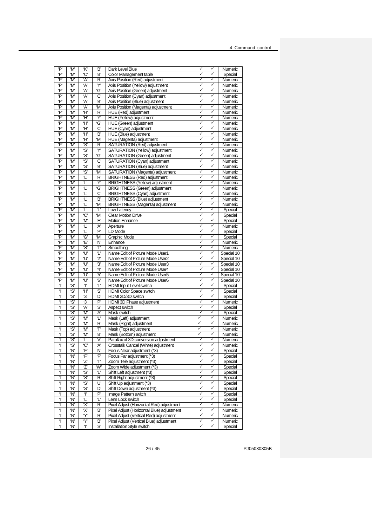| 'P'    | 'M'        | κ                       | Έ,                    | Dark Level Blue                                                      | ✓                 | ✓            | Numeric            |
|--------|------------|-------------------------|-----------------------|----------------------------------------------------------------------|-------------------|--------------|--------------------|
| 'P'    | 'M'        | 'С'                     | Έ,                    | Color Management table                                               | ✓<br>✓            | ✓            | Special            |
| 'P'    | 'M'        | Ά,                      | 'R'                   | Axis Position (Red) adjustment                                       |                   | ✓            | Numeric            |
| 'P'    | 'M'        | 'A'                     | Y                     | Axis Position (Yellow) adiustment                                    | ✓                 | ✓            | Numeric            |
| 'P'    | 'M'        | ʻA'                     | ʻG'                   | Axis Position (Green) adjustment                                     | ✓                 | ✓            | Numeric            |
| 'P'    | 'M'        | ʻA'                     | 'С'                   | Axis Position (Cyan) adjustment                                      | ✓                 | ✓            | Numeric            |
| 'P'    | 'M         | Ά,                      | Έ,                    | Axis Position (Blue) adjustment                                      | ✓                 | ✓            | Numeric            |
| 'P'    | 'M'        | ʻA'                     | 'M'                   | Axis Position (Magenta) adjustment                                   | ✓                 | ✓            | Numeric            |
| 'P'    | 'M'        | Ή                       | 'R'                   | HUE (Red) adjustment                                                 | ✓                 | ✓            | Numeric            |
| 'P'    | 'M         | Ή                       | Y                     | HUE (Yellow) adjustment                                              | $\checkmark$      | ✓            | Numeric            |
| 'P'    | 'M'        | Ή                       | 'G'                   | HUE (Green) adjustment                                               | $\checkmark$      | ✓            | Numeric            |
| 'P'    | 'M'        | Ή                       | 'C'                   | HUE (Cyan) adjustment                                                | ✓                 | ✓            | Numeric            |
| 'P'    | 'M'        | Ή                       | Έ,                    | HUE (Blue) adjustment                                                | ✓                 | ✓            | Numeric            |
| 'P'    | 'M'        | Ή                       | 'M'                   | HUE (Magenta) adjustment                                             | ✓                 | ✓            | Numeric            |
| 'P'    | 'M         | ʻS'                     | 'R'                   | SATURATION (Red) adjustment                                          | ✓                 | ✓            | Numeric            |
| 'P'    | 'M         | 'S'                     | Y                     | SATURATION (Yellow) adjustment                                       | ✓                 | ✓            | Numeric            |
| 'P'    | 'M'        | 'S'                     | ʻG'                   | SATURATION (Green) adjustment                                        | ✓                 | ✓            | Numeric            |
| 'P'    | 'M'        | 'S                      | 'C'                   | SATURATION (Cyan) adjustment                                         | ✓                 | ✓            | Numeric            |
| 'P'    | 'M'        | 'Ŝ                      | Έ,                    | SATURATION (Blue) adjustment                                         | $\checkmark$      | ✓            | Numeric            |
| 'P'    | 'M'        | ʻS'                     | 'M'                   | SATURATION (Magenta) adjustment                                      | $\checkmark$      | ✓            | Numeric            |
| 'P'    | 'M'        | $\overline{\mathbb{T}}$ | 'R'                   | <b>BRIGHTNESS (Red) adjustment</b>                                   | ✓                 | ✓            | Numeric            |
| 'P'    | 'M         | 'L'                     | Y                     | <b>BRIGHTNESS (Yellow) adjustment</b>                                | ✓                 | ✓            | Numeric            |
| 'P'    | 'M'        | Ľ                       | 'G'                   | <b>BRIGHTNESS (Green) adjustment</b>                                 | $\checkmark$      | ✓            | Numeric            |
| 'P'    | 'M         | Ľ                       | 'С'                   | <b>BRIGHTNESS</b> (Cyan) adjustment                                  | ✓                 | ✓            | Numeric            |
| 'P'    | 'M'        | 'L'                     | Έ,                    | <b>BRIGHTNESS (Blue) adjustment</b>                                  | ✓                 | ✓            | Numeric            |
| 'P'    | 'M'        | Ľ                       | 'M'                   | <b>BRIGHTNESS</b> (Magenta) adjustment                               | ✓                 | ✓            | Numeric            |
| 'P'    | 'M         | 'L'                     | Ľ                     | Low Latency                                                          | ✓                 | ✓            | Special            |
| 'P'    | 'M         | 'С'                     | 'M'                   | <b>Clear Motion Drive</b>                                            | ✓                 | ✓            | Special            |
| 'P'    | 'M         | 'M'                     | Έ                     | <b>Motion Enhance</b>                                                | ✓                 | ✓            | Special            |
| 'P'    | 'M'        | Ľ                       | 'A'                   | Aperture                                                             | ✓                 | ✓            | Numeric            |
| 'P'    | 'M         | "L'                     | 'P'                   | <b>LD Mode</b>                                                       | ✓                 | ✓            | Special            |
| 'P'    | 'M'        | 'G'                     | ʻM                    | <b>Graphic Mode</b>                                                  | $\checkmark$      | ✓            | Special            |
| 'P'    | 'M'        | Έ                       | 'N                    | Enhance                                                              | ✓                 | ✓            | Numeric            |
| 'P'    | 'M'        | ʻS'                     | ፐ                     | Smoothing                                                            | ✓                 | ✓            | Numeric            |
| 'P'    | 'M'        | 'U'                     | $^{\prime}1^{\prime}$ | Name Edit of Picture Mode User1                                      | ✓                 | ✓            | Special 10         |
| 'P'    | 'M'        | 'U'                     | 2'                    | Name Edit of Picture Mode User2                                      | $\checkmark$      | ✓            | Special 10         |
| 'P'    | 'M'        | 'U'                     | '3'                   | Name Edit of Picture Mode User3                                      | ✓                 | $\checkmark$ | Special 10         |
| 'P'    | 'M         |                         |                       |                                                                      |                   |              |                    |
| 'P'    |            | 'U'                     | 4'                    | Name Edit of Picture Mode User4                                      | ✓                 | ✓            | Special 10         |
|        | ʻM         | 'U'                     | '5'                   | Name Edit of Picture Mode User5                                      | ✓                 | ✓            | Special 10         |
| 'P'    | 'M'        | 'U'                     | '6'                   | Name Edit of Picture Mode User6                                      | ✓                 | ✓            | Special 10         |
| T      | ʻS'        | Ŧ                       | "L'                   | HDMI Input Level switch                                              | ✓                 | ✓            | Special            |
| Τ      | ʻS'        | Ή                       | 'S'                   | <b>HDMI Color Space switch</b>                                       | ✓                 | ✓            | Special            |
| Ŧ      | ʻS'        | '3'                     | 'D'                   | HDMI 2D/3D switch                                                    | ✓                 | ✓            | Special            |
| T      | ʻS'        | '3'                     | 'P'                   | HDMI 3D Phase adjustment                                             | ✓                 | ✓            | Numeric            |
| Ŧ      | ʻS'        | Ά,                      | 'S'                   | Aspect switch                                                        | $\checkmark$      | ✓            | Special            |
| Ŧ      | 'S'        | 'M'                     | ʻA'                   | Mask switch                                                          | $\checkmark$      | ✓            | Special            |
| Ŧ      | 'S'        | 'M'                     | 'L'                   | Mask (Left) adjustment                                               | ✓                 | ✓            | Numeric            |
| Ŧ      | 'S'        | 'M'                     | 'R'                   | Mask (Right) adjustment                                              | ✓                 | ✓            | Numeric            |
| Ŧ      | ʻS'        | 'M'                     | T                     | Mask (Top) adjustment                                                | ✓                 | ✓            | Numeric            |
| T      | ŝ          | 'M'                     | Έ,                    | Mask (Bottom) adjustment                                             | ✓                 | ✓            | Numeric            |
| Ŧ      | 'S'        | T                       | V                     | Parallax of 3D conversion adjustment                                 | ✓                 | ✓            | Numeric            |
| Τ      | ʻS'        | .С,                     | Ά,                    | Crosstalk Cancel (White) adjustment                                  | ✓                 | ✓            | Numeric            |
| Ŧ      | 'N'        | 'F'                     | 'N'                   | Focus Near adjustment (*3)                                           | $\checkmark$      | ✓            | Special            |
| T      | 'N'        | Έ                       | Έ                     | Focus Far adjustment (*3)                                            | $\checkmark$      | ✓            | Special            |
| Ŧ      | 'N'        | ʻZʻ                     | Т                     | Zoom Tele adjustment (*3)                                            | ✓                 | ✓            | Special            |
| T      | 'N'        | ʻZʻ                     | W'                    | Zoom Wide adjustment (*3)                                            | ✓                 | ✓            | Special            |
| T      | 'N'        | 'S'                     | Ľ                     | Shift Left adjustment (*3)                                           | $\checkmark$      | ✓            | Special            |
| T      | 'N'        | 'S'                     | 'R'                   | Shift Right adjustment (*3)                                          | ✓                 | ✓            | Special            |
| Τ      | 'N'        | 'S'                     | 'U'                   | Shift Up adjustment (*3)                                             | ✓                 | ✓            | Special            |
| T      | 'N'        | 'Ŝ                      | 'D'                   | Shift Down adjustment (*3)                                           | ✓                 | ✓            | Special            |
| T      | 'N'        | Τ                       | 'P'                   | Image Pattern switch                                                 | ✓                 | ✓            | Special            |
| Ŧ      | 'N'        | 'L'                     | 'L'                   | Lens Lock switch                                                     | ✓                 | ✓            | Special            |
| T      | 'N'        | 'X'                     | 'R'                   | Pixel Adjust (Horizontal Red) adjustment                             | $\checkmark$      | ✓            | Numeric            |
| Ŧ      | 'N'        | 'X'                     | Έ,                    | Pixel Adjust (Horizontal Blue) adjustment                            | ✓                 | ✓            | Numeric            |
| T      | 'N'        | Y                       | 'R'                   | Pixel Adjust (Vertical Red) adjustment                               | ✓                 | ✓            | Numeric            |
| T<br>T | 'N'<br>'N' | Y<br>T                  | Έ,<br>'S'             | Pixel Adjust (Vertical Blue) adjustment<br>Installation Style switch | $\checkmark$<br>✓ | ✓<br>✓       | Numeric<br>Special |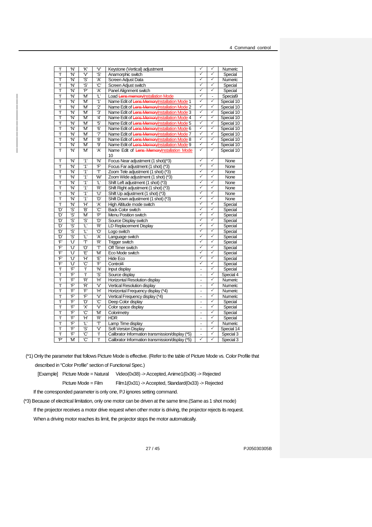| Ŧ   | 'N' | 'K'                     | $\mathcal{V}$           |                                                  | ✓                            | ✓                 |            |
|-----|-----|-------------------------|-------------------------|--------------------------------------------------|------------------------------|-------------------|------------|
|     |     |                         |                         | Keystone (Vertical) adjustment                   | ✓                            | ✓                 | Numeric    |
| Ŧ   | 'N' | $\overline{\mathsf{v}}$ | 'S                      | Anamorphic switch                                | $\checkmark$                 | ✓                 | Special    |
| Ŧ   | 'N' | ʻS'                     | Ά,                      | Screen Adjust Data                               |                              |                   | Numeric    |
| Ŧ   | 'N' | 'S'                     | <b>'C'</b>              | Screen Adjust switch                             | ✓                            | $\checkmark$      | Special    |
| Ŧ   | 'N' | 'P'                     | 'Α'                     | Panel Alignment switch                           | $\checkmark$                 | $\checkmark$      | Special    |
| Ŧ   | 'N' | 'M'                     | q,                      | Load Lens memoryInstallation Mode                | $\overline{\checkmark}$      | $\overline{a}$    | Special9   |
| Ŧ   | 'N' | 'M'                     | "1'                     | Name Edit of Lens MemoryInstallation Mode 1      | ✓                            | ✓                 | Special 10 |
| Ŧ   | 'N' | 'M'                     | 2'                      | Name Edit of Lens MemoryInstallation Mode 2      | ✓                            | ✓                 | Special 10 |
| Ŧ   | 'N' | 'M'                     | '3'                     | Name Edit of Lens MemoryInstallation Mode 3      | ✓                            | ✓                 | Special 10 |
| Ŧ   | 'N' | 'M'                     | 4'                      | Name Edit of Lens MemoryInstallation Mode 4      | $\checkmark$                 | ✓                 | Special 10 |
| Ŧ   | 'N' | 'M'                     | '5'                     | Name Edit of Lens MemoryInstallation Mode 5      | $\checkmark$                 | ✓                 | Special 10 |
| Ŧ   | 'N' | 'M'                     | θ,                      | Name Edit of Lens MemoryInstallation Mode 6      | ✓                            | ✓                 | Special 10 |
| Ŧ   | 'N' | 'M'                     | 7                       | Name Edit of Lens MemoryInstallation Mode 7      | ✓                            | ✓                 | Special 10 |
| Ŧ   | 'N' | 'M                      | '8'                     | Name Edit of Lens MemoryInstallation Mode 8      | ✓                            | ✓                 | Special 10 |
| Ŧ   | 'N' | 'M                      | 9'                      | Name Edit of Lens Memory Installation Mode 9     | $\checkmark$                 | ✓                 | Special 10 |
| Ŧ   | 'N' | 'M'                     | 'A'                     | Name Edit of Lens MemoryInstallation Mode        | ✓                            | $\checkmark$      | Special 10 |
|     |     |                         |                         | 10                                               |                              |                   |            |
| Ŧ   | 'N' | $^{\prime}$ 1'          | 'N'                     | Focus Near adjustment (1 shot)(*3)               | ✓                            | ✓                 | None       |
| Ŧ   | 'N' | "1'                     | 'F'                     | Focus Far adjustment (1 shot) (*3)               | ✓                            | $\checkmark$      | None       |
| Ŧ   | 'N' | "1'                     | ፐ                       | Zoom Tele adjustment (1 shot) (*3)               | $\checkmark$                 | $\checkmark$      | None       |
| Ŧ   | 'N' | "1'                     | $\overline{\mathsf{W}}$ | Zoom Wide adjustment (1 shot) (*3)               | ✓                            | ✓                 | None       |
| Ŧ   | 'N' | '1'                     | 'L'                     | Shift Left adjustment (1 shot) (*3)              | ✓                            | ✓                 | None       |
| Ŧ   | 'N' | $^{\prime}$ 1'          | 'R'                     | Shift Right adjustment (1 shot) (*3)             | ✓                            | ✓                 | None       |
| Ŧ   | 'N' | '1'                     | U                       | Shift Up adjustment (1 shot) (*3)                | $\checkmark$                 | ✓                 | None       |
| Ŧ   | 'N' | $^{\prime}$ 1'          | 'D'                     | Shift Down adjustment (1 shot) (*3)              | $\overline{\checkmark}$      | $\checkmark$      | None       |
| Ŧ   | 'N' | Ή                       | 'A'                     | High Altitude mode switch                        | $\checkmark$                 | ✓                 | Special    |
| 'D' | 'Ŝ  | Έ,                      | Ć                       | <b>Back Color switch</b>                         | ✓                            | ✓                 | Special    |
| 'D' | 'S  | 'M'                     | 'P'                     | Menu Position switch                             | ✓                            | ✓                 | Special    |
| 'D' | 'S' | 'S                      | 'D'                     | Source Display switch                            | ✓                            | ✓                 | Special    |
| 'D' | 'S' | ſ,                      | 'R'                     | LD Replacement Display                           | ✓                            | $\checkmark$      | Special    |
| 'D' | 'S' | T                       | Ô,                      | Logo switch                                      | $\overline{\checkmark}$      | 7                 | Special    |
| 'D' | 'S' | 'L'                     | 'A'                     | Language switch                                  | ✓                            | ✓                 | Special    |
| Έ   | Ίľ  | ፐ                       | 'R'                     | <b>Trigger switch</b>                            | ✓                            | ✓                 |            |
| F   | ับ  |                         |                         |                                                  | ✓                            | ✓                 | Special    |
|     |     | Ő                       | T                       | Off Timer switch                                 | $\overline{\checkmark}$      | ✓                 | Special    |
| 'F' | 'U' | Έ,                      | 'M'                     | Eco Mode switch                                  | $\checkmark$                 | $\checkmark$      | Special    |
| 'F' | 'U' | Ή                       | Έ,                      | Hide Eco                                         | ✓                            |                   | Special    |
| 'F' | 'U' | 'C'                     | 'F'                     | Control4                                         |                              | $\checkmark$<br>✓ | Special    |
| Ŧ   | 'F' | Ŧ                       | 'N'                     | Input display                                    | $\overline{a}$               |                   | Special    |
| T   | F   | Ŧ                       | 'S'                     | Source display                                   | $\overline{a}$               | ✓                 | Special 4  |
| T   | 'F' | 'R'                     | Ή                       | Horizontal Resolution display                    | ÷,                           | ✓                 | Numeric    |
| Ŧ   | 'F' | 'R'                     | $\mathsf{V}$            | Vertical Resolution display                      | $\overline{\phantom{a}}$     | ✓                 | Numeric    |
| Ŧ   | 'F' | 'F'                     | Ή                       | Horizontal Frequency display (*4)                | $\overline{a}$               | ✓                 | Numeric    |
| Ŧ   | F   | Ē                       | $\overline{V}$          | Vertical Frequency display (*4)                  | $\overline{a}$               | ✓                 | Numeric    |
| T   | F   | 'D'                     | Ć                       | Deep Color display                               | ÷,                           | ✓                 | Special    |
| T   | F   | 'X'                     | $\overline{\mathsf{v}}$ | Color space display                              | $\qquad \qquad \blacksquare$ | ✓                 | Special    |
| Τ   | Έ   | Ć                       | 'M                      | Colorimetry                                      | $\qquad \qquad \blacksquare$ | ✓                 | Special    |
| T   | Έ   | Ή                       | 'R'                     | <b>HDR</b>                                       | $\overline{a}$               | $\checkmark$      | Special    |
| Ŧ   | Ŧ   | T                       | $\overline{\text{T}}$   | Lamp Time display                                | $\overline{a}$               | ✓                 | Numeric    |
| Ŧ   | Ŧ   | 'S'                     | $\overline{\mathsf{v}}$ | Soft Version Display                             | $\overline{a}$               | ✓                 | Special 14 |
| T   | 'F' | Ć,                      | Ŧ                       | Calibrator Information transmission/display (*5) | $\overline{a}$               | ✓                 | Special 3  |
| 'P' | 'M' | 'С'                     | Ŧ                       | Calibrator Information transmission/display (*5) | ✓                            | ✓                 | Special 3  |

(\*1) Only the parameter that follows Picture Mode is effective. (Refer to the table of Picture Mode vs. Color Profile that described in "Color Profile" section of Functional Spec.)

[Example] Picture Mode = Natural Video(0x38) -> Accepted, Anime1(0x36) -> Rejected

Picture Mode = Film Film1(0x31) -> Accepted, Standard(0x33) -> Rejected

If the corresponded parameter is only one, PJ ignores setting command.

(\*3) Because of electrical limitation, only one motor can be driven at the same time.(Same as 1 shot mode)

If the projector receives a motor drive request when other motor is driving, the projector rejects its request.

When a driving motor reaches its limit, the projector stops the motor automatically.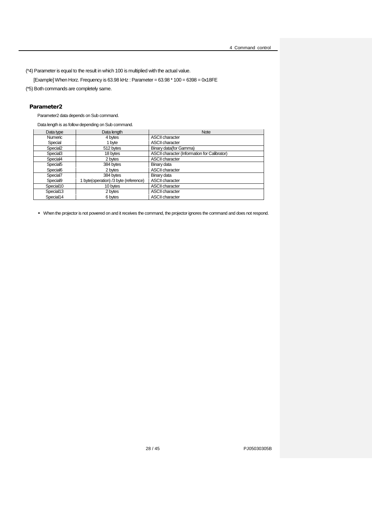(\*4) Parameter is equal to the result in which 100 is multiplied with the actual value.

[Example] When Horz. Frequency is 63.98 kHz : Parameter =  $63.98 * 100 = 6398 = 0x18FE$ 

(\*5) Both commands are completely same.

#### Parameter2

Parameter2 data depends on Sub command.

Data length is as follow depending on Sub command.

| Data type             | Data length                           | <b>Note</b>                                  |
|-----------------------|---------------------------------------|----------------------------------------------|
| Numeric               | 4 bytes                               | <b>ASCII character</b>                       |
| Special               | 1 byte                                | <b>ASCII character</b>                       |
| Special <sub>2</sub>  | 512 bytes                             | Binary data(for Gamma)                       |
| Special <sub>3</sub>  | 18 bytes                              | ASCII character (Information for Calibrator) |
| Special4              | 2 bytes                               | <b>ASCII character</b>                       |
| Special <sub>5</sub>  | 384 bytes                             | Binary data                                  |
| Special <sub>6</sub>  | 2 bytes                               | <b>ASCII character</b>                       |
| Special7              | 384 bytes                             | Binary data                                  |
| Special <sub>9</sub>  | 1 byte(operation) /3 byte (reference) | <b>ASCII character</b>                       |
| Special10             | 10 bytes                              | <b>ASCII character</b>                       |
| Special <sub>13</sub> | 2 bytes                               | <b>ASCII character</b>                       |
| Special14             | 6 bytes                               | <b>ASCII character</b>                       |

• When the projector is not powered on and it receives the command, the projector ignores the command and does not respond.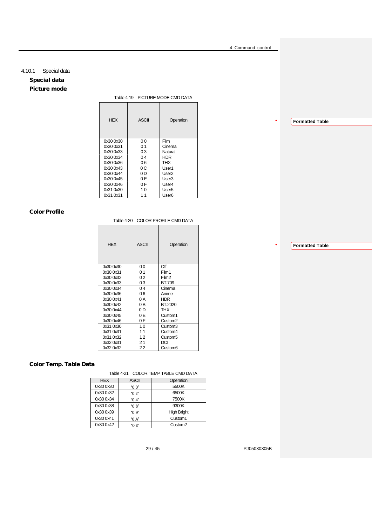## <span id="page-28-0"></span>4.10.1 Special data Special data Picture mode

<span id="page-28-1"></span> $\mathbf{I}$ 

 $\overline{1}$ 

Table 4-19 PICTURE MODE CMD DATA

| <b>HFX</b> | <b>ASCII</b>   | Operation         |
|------------|----------------|-------------------|
| 0x30 0x30  | 00             | Film              |
| 0x30 0x31  | 0 <sub>1</sub> | Cinema            |
| 0x30 0x33  | 03             | Natural           |
| 0x30 0x34  | 04             | <b>HDR</b>        |
| 0x30 0x36  | 06             | тнх               |
| 0x30 0x43  | 0C             | User1             |
| 0x30 0x44  | 0 D            | User <sub>2</sub> |
| 0x30 0x45  | 0 E            | User3             |
| 0x30 0x46  | 0 F            | User4             |
| 0x31 0x30  | 1 <sub>0</sub> | User5             |
| 0x31 0x31  | 11             | User <sub>6</sub> |
|            |                |                   |

## <span id="page-28-2"></span>Color Profile

Table 4-20 COLOR PROFILE CMD DATA

| <b>HEX</b> | <b>ASCII</b>   | Operation           |
|------------|----------------|---------------------|
| 0x30 0x30  | 00             | Off                 |
| 0x30 0x31  | 0 <sub>1</sub> | Film1               |
| 0x30 0x32  | 02             | Film2               |
| 0x30 0x33  | 03             | BT.709              |
| 0x30 0x34  | 04             | Cinema              |
| 0x30 0x36  | 06             | Anime               |
| 0x30 0x41  | 0 A            | <b>HDR</b>          |
| 0x30 0x42  | 0B             | BT.2020             |
| 0x30 0x44  | 0 D            | THX                 |
| 0x30 0x45  | 0E             | Custom1             |
| 0x30 0x46  | 0 F            | Custom <sub>2</sub> |
| 0x31 0x30  | 10             | Custom3             |
| 0x31 0x31  | 11             | Custom4             |
| 0x31 0x32  | 12             | Custom <sub>5</sub> |
| 0x32 0x31  | 21             | DCI                 |
| 0x32 0x32  | 22             | Custom <sub>6</sub> |

## <span id="page-28-3"></span>Color Temp. Table Data

Table 4-21 COLOR TEMP TABLE CMD DATA

| <b>HEX</b> | <b>ASCII</b> | Operation           |
|------------|--------------|---------------------|
| 0x300x30   | '00'         | 5500K               |
| 0x30 0x32  | '02'         | 6500K               |
| 0x30 0x34  | '04'         | 7500K               |
| 0x30 0x38  | '0.8'        | 9300K               |
| 0x30 0x39  | '09'         | <b>High Bright</b>  |
| 0x30 0x41  | '0A'         | Custom <sub>1</sub> |
| 0x300x42   | $'$ OB'      | Custom <sub>2</sub> |

29 / 45 PJ05030305B

**Formatted Table**

**Formatted Table**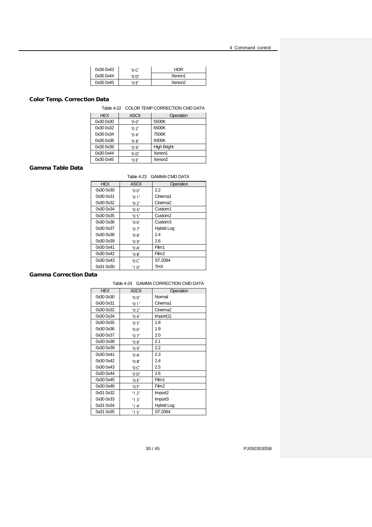| 0x30 0x43 | '0 C' | HDR                |
|-----------|-------|--------------------|
| 0x30 0x44 | '0 D' | Xenon1             |
| 0x30 0x45 | 'O F' | Xenon <sub>2</sub> |

## <span id="page-29-0"></span>Color Temp. Correction Data

Table 4-22 COLOR TEMP CORRECTION CMD DATA

| <b>HEX</b> | <b>ASCII</b> | Operation          |
|------------|--------------|--------------------|
| 0x30 0x30  | '00'         | 5500K              |
| 0x300x32   | '0.2'        | 6500K              |
| 0x30 0x34  | '04'         | 7500K              |
| 0x300x38   | '0.8'        | 9300K              |
| 0x30 0x39  | '09'         | <b>High Bright</b> |
| 0x30 0x44  | '0D'         | Xenon1             |
| 0x30 0x45  | '0F'         | Xenon <sub>2</sub> |
|            |              |                    |

## <span id="page-29-1"></span>Gamma Table Data

## Table 4-23 GAMMA CMD DATA

| <b>HEX</b> | <b>ASCII</b> | Operation           |
|------------|--------------|---------------------|
| 0x30 0x30  | '00'         | 2.2                 |
| 0x30 0x31  | '01'         | Cinema1             |
| 0x30 0x32  | '02'         | Cinema <sub>2</sub> |
| 0x30 0x34  | '04'         | Custom1             |
| 0x30 0x35  | '05'         | Custom <sub>2</sub> |
| 0x30 0x36  | '06'         | Custom3             |
| 0x30 0x37  | '07'         | <b>Hybrid Log</b>   |
| 0x30 0x38  | '08'         | 2.4                 |
| 0x30 0x39  | '09'         | 2.6                 |
| 0x30 0x41  | '0A'         | Film1               |
| 0x30 0x42  | $'$ OB'      | Film <sub>2</sub>   |
| 0x30 0x43  | '0C'         | ST.2084             |
| 0x31 0x30  | '10'         | тнх                 |

## <span id="page-29-2"></span>Gamma Correction Data

## Table 4-24 GAMMA CORRECTION CMD DATA

| <b>HEX</b> | <b>ASCII</b> | Operation           |
|------------|--------------|---------------------|
| 0x30 0x30  | '00'         | Normal              |
| 0x30 0x31  | '01'         | Cinema1             |
| 0x30 0x32  | '02'         | Cinema <sub>2</sub> |
| 0x30 0x34  | '04'         | Import(1)           |
| 0x30 0x35  | '05'         | 1.8                 |
| 0x30 0x36  | '06'         | 1.9                 |
| 0x30 0x37  | '07'         | 2.0                 |
| 0x30 0x38  | '08'         | 2.1                 |
| 0x30 0x39  | '09'         | 2.2                 |
| 0x30 0x41  | '0A'         | 2.3                 |
| 0x30 0x42  | '0B'         | 2.4                 |
| 0x30 0x43  | '0C'         | 2.5                 |
| 0x30 0x44  | '0D'         | 2.6                 |
| 0x30 0x45  | '0E'         | Film1               |
| 0x30 0x46  | '0 F'        | Film <sub>2</sub>   |
| 0x31 0x32  | '12'         | Import <sub>2</sub> |
| 0x30 0x33  | '13'         | Import3             |
| 0x31 0x34  | '14'         | Hybrid Log          |
| 0x31 0x35  | '15'         | ST.2084             |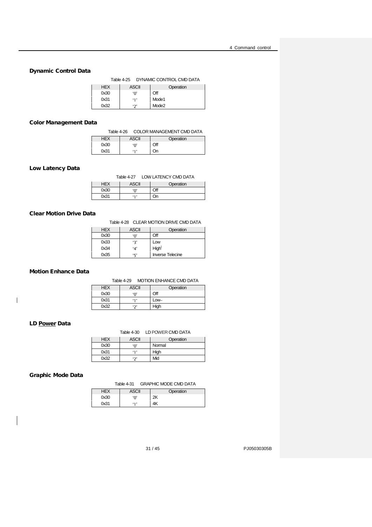## <span id="page-30-0"></span>Dynamic Control Data

Table 4-25 DYNAMIC CONTROL CMD DATA

| <b>HEX</b> | <b>ASCII</b>       | Operation         |
|------------|--------------------|-------------------|
| 0x30       | 'ቦ'                | Off               |
| 0x31       | $\cdot$ 1, $\cdot$ | Mode1             |
| 0x32       | ירי                | Mode <sub>2</sub> |

#### <span id="page-30-1"></span>Color Management Data

Table 4-26 COLOR MANAGEMENT CMD DATA

| HEX  | ASCII | Operation |
|------|-------|-----------|
| 0x30 | '٥'   | Эff       |
| 0x31 | 11    |           |

#### <span id="page-30-2"></span>Low Latency Data

Table 4-27 LOW LATENCY CMD DATA

| <b>HFX</b> | ASCII    | Operation |
|------------|----------|-----------|
| 0x30       | $\Omega$ | Эff       |
| 0x31       | $5 - 7$  | )n        |

## <span id="page-30-3"></span>Clear Motion Drive Data

#### Table 4-28 CLEAR MOTION DRIVE CMD DATA

| <b>HEX</b> | <b>ASCII</b> | Operation                    |
|------------|--------------|------------------------------|
| 0x30       | '0'          | Off                          |
| 0x33       | 'ج'          | Low                          |
| 0x34       | ٠4٬          | $\mathsf{High}^{\mathsf{L}}$ |
| 0x35       | 'ς'          | <b>Inverse Telecine</b>      |

## <span id="page-30-4"></span>Motion Enhance Data

Table 4-29 MOTION ENHANCE CMD DATA

| <b>HEX</b> | <b>ASCII</b> | Operation |
|------------|--------------|-----------|
| 0x30       | 'ቦ'          | Off       |
| 0x31       | ٠,           | $Low -$   |
| 0x32       | ירי          | High      |

## <span id="page-30-5"></span>LD Power Data

 $\overline{\phantom{a}}$ 

| <b>HEX</b> | ASCII | Operation |
|------------|-------|-----------|
| 0x30       | '∩'   | Normal    |
| 0x31       | 11    | High      |
| 0x32       | ້າ    | Mid       |

## <span id="page-30-6"></span>Graphic Mode Data

Table 4-31 GRAPHIC MODE CMD DATA

|      |     | Operation |
|------|-----|-----------|
| 0x30 | '∩' |           |
| 0x31 | 11  |           |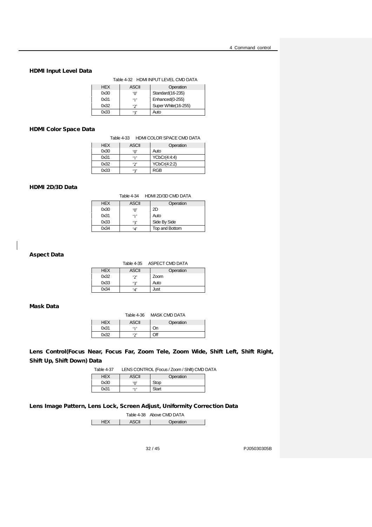## HDMI Input Level Data

Table 4-32 HDMI INPUT LEVEL CMD DATA

| <b>HFX</b> | ASCII | Operation           |
|------------|-------|---------------------|
| 0x30       | 'ቦ'   | Standard (16-235)   |
| 0x31       | ٠,    | Enhanced(0-255)     |
| 0x32       | יכי   | Super White(16-255) |
| 0x33       | יבי   | Auto                |

## <span id="page-31-0"></span>HDMI Color Space Data

Table 4-33 HDMI COLOR SPACE CMD DATA

| <b>HEX</b> | <b>ASCII</b> | Operation    |
|------------|--------------|--------------|
| 0x30       | 'ቦ'          | Auto         |
| 0x31       | ٠,           | YCbCr(4:4:4) |
| 0x32       | ירי          | YCbCr(4:2:2) |
| 0x33       | יבי          | RGB          |

## <span id="page-31-1"></span>HDMI 2D/3D Data

Table 4-34 HDMI 2D/3D CMD DATA

| <b>HEX</b> | <b>ASCII</b>    | Operation      |
|------------|-----------------|----------------|
| 0x30       | '∩'             | 2D             |
| 0x31       | ٠1,             | Auto           |
| 0x33       | '٦'             | Side By Side   |
| 0x34       | $^{\mathbf{a}}$ | Top and Bottom |

## Aspect Data

|            |              | Table 4-35 ASPECT CMD DATA |
|------------|--------------|----------------------------|
| <b>HEX</b> | <b>ASCII</b> | Operation                  |
| 0x32       | ירי          | Zoom                       |
| 0x33       | יבי          | Auto                       |
| 0x34       | ۰Δ'          | Just                       |

## <span id="page-31-2"></span>Mask Data

|            | Table 4-36 | MASK CMD DATA |
|------------|------------|---------------|
| <b>HEX</b> | ASCII      | Operation     |
| 0x31       | "1"        | On            |
| 0x32       | ירי        | Off           |

## <span id="page-31-3"></span>Lens Control(Focus Near, Focus Far, Zoom Tele, Zoom Wide, Shift Left, Shift Right, Shift Up, Shift Down) Data

Table 4-37 LENS CONTROL (Focus / Zoom / Shift) CMD DATA

| HEX  | ASCII | Operation |
|------|-------|-----------|
| 0x30 | '∩'   | Stop      |
| 0x31 | 513   | Start     |

## <span id="page-31-4"></span>Lens Image Pattern, Lens Lock, Screen Adjust, Uniformity Correction Data

Table 4-38 Above CMD DATA

| . |  |
|---|--|
|   |  |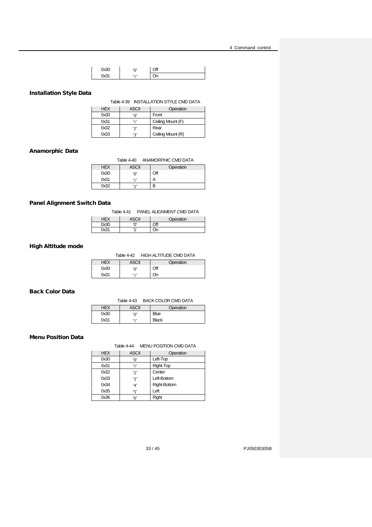| 0x30 | $\mathbf{M}$<br>v | ∩ff<br>41 |
|------|-------------------|-----------|
| ∩√24 | $5 - 7$           | ١n        |

## <span id="page-32-0"></span>Installation Style Data

Table 4-39 INSTALLATION STYLE CMD DATA

| <b>HEX</b> | ASCII | Operation         |
|------------|-------|-------------------|
| 0x30       | 'ቦ'   | Front             |
| 0x31       | ٠,    | Ceiling Mount (F) |
| 0x32       | '7'   | Rear              |
| 0x33       | י ج   | Ceiling Mount (R) |

#### <span id="page-32-1"></span>Anamorphic Data

Table 4-40 ANAMORPHIC CMD DATA

| <b>HEX</b> | <b>ASCII</b> | Operation |
|------------|--------------|-----------|
| 0x30       | '∩'          | Off       |
| 0x31       | ٠,,          |           |
|            | د د،         | R         |
|            |              |           |

## <span id="page-32-2"></span>Panel Alignment Switch Data

Table 4-41 PANEL ALIGNMENT CMD DATA HEX ASCII Operation<br>0x30 0' Off 0x30 '0' Off

0x31 '1' On

## <span id="page-32-3"></span>High Altitude mode

Table 4-42 HIGH ALTITUDE CMD DATA

|      | ASCII | Operation |
|------|-------|-----------|
| 0x30 | ٠∩٬   | ااك       |
| 0x31 | 51,   | )n        |

## <span id="page-32-4"></span>Back Color Data

Table 4-43 BACK COLOR CMD DATA  $\overline{\phantom{a}}$  ASCII  $\overline{\phantom{a}}$  Operation

| HEX  | ASCII | Operation    |
|------|-------|--------------|
| 0x30 | '٥'   | <b>Blue</b>  |
| 0x31 | 513   | <b>Black</b> |

#### <span id="page-32-5"></span>Menu Position Data

#### Table 4-44 MENU POSITION CMD DATA

| <b>HEX</b> | <b>ASCII</b> | Operation           |
|------------|--------------|---------------------|
| 0x30       | '0'          | Left-Top            |
| 0x31       | "1'          | Right-Top           |
| 0x32       | יכי          | Center              |
| 0x33       | '3'          | Left-Bottom         |
| 0x34       | 4'           | <b>Right-Bottom</b> |
| 0x35       | ٠ς,          | Left                |
| 0x36       | '6'          | Right               |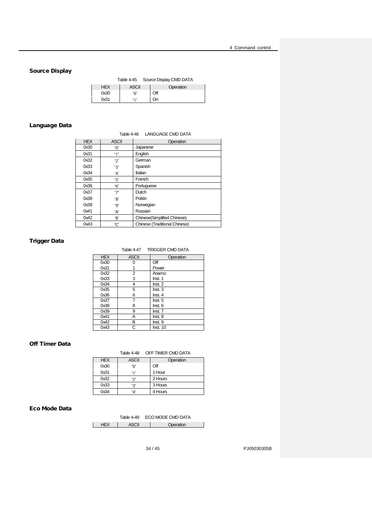## <span id="page-33-0"></span>Source Display

|            | Table 4-45 | Source Display CMD DATA |
|------------|------------|-------------------------|
| <b>HFX</b> | ASCII      | Operation               |
| 0x30       | 'ቦ'        | Off                     |
| 0x31       | 11         | On                      |

## <span id="page-33-1"></span>Language Data

Table 4-46 LANGUAGE CMD DATA

| <b>HEX</b> | <b>ASCII</b>          | Operation                            |  |
|------------|-----------------------|--------------------------------------|--|
| 0x30       | '٥'                   | Japanese                             |  |
| 0x31       | $^{\prime}1^{\prime}$ | English                              |  |
| 0x32       | '2'                   | German                               |  |
| 0x33       | '3'                   | Spanish                              |  |
| 0x34       | 4'                    | Italian                              |  |
| 0x35       | '5'                   | French                               |  |
| 0x36       | 6'                    | Portuguese                           |  |
| 0x37       | '7'                   | Dutch                                |  |
| 0x38       | '8'                   | Polski                               |  |
| 0x39       | '9'                   | Norwegian                            |  |
| 0x41       | 'А'                   | Russian                              |  |
| 0x42       | 'B'                   | Chinese(Simplified Chinese)          |  |
| 0x43       | 'С'                   | <b>Chinese (Traditional Chinese)</b> |  |

## <span id="page-33-2"></span>Trigger Data

Table 4-47 TRIGGER CMD DATA

| <b>HEX</b> | <b>ASCII</b> | Operation |
|------------|--------------|-----------|
| 0x30       | n            | Off       |
| 0x31       |              | Power     |
| 0x32       | 2            | Anamo     |
| 0x33       | 3            | Inst. 1   |
| 0x34       | 4            | Inst. 2   |
| 0x35       | 5            | Inst.3    |
| 0x36       | 6            | Inst.4    |
| 0x37       | 7            | Inst. 5   |
| 0x38       | 8            | Inst. 6   |
| 0x39       | 9            | Inst. 7   |
| 0x41       | Α            | Inst. 8   |
| 0x42       | B            | Inst. 9   |
| 0x43       | C            | Inst. 10  |

## <span id="page-33-3"></span>Off Timer Data

## Table 4-48 OFF TIMER CMD DATA

| <b>HEX</b> | <b>ASCII</b>   | Operation |
|------------|----------------|-----------|
| 0x30       | '0'            | Off       |
| 0x31       | $^{\prime}$ 1' | 1 Hour    |
| 0x32       | $\cdot$ 2'     | 2 Hours   |
| 0x33       | '٦'            | 3 Hours   |
| 0x34       | ۰Δ'            | 4 Hours   |

## <span id="page-33-4"></span>Eco Mode Data

| Table 4-49 | ECO MODE CMD DATA |
|------------|-------------------|
|            | Operation         |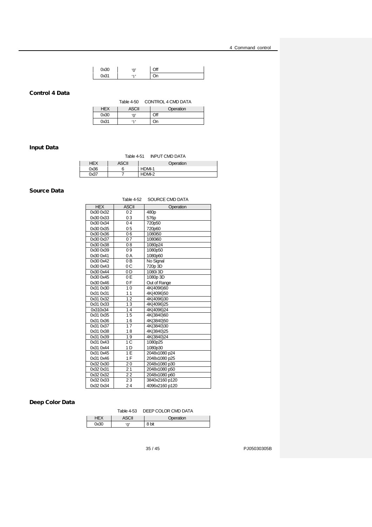| 0x30 | $\sim$  | ገዙ<br>я. |
|------|---------|----------|
| 0.01 | $5 - 7$ | ١n       |

## <span id="page-34-0"></span>Control 4 Data

Table 4-50 CONTROL 4 CMD DATA

| HEX  | ASUII  | Operation |
|------|--------|-----------|
| 0x30 | $\sim$ | Эff       |
| 0x31 | 11     | n         |

## <span id="page-34-1"></span>Input Data

Table 4-51 INPUT CMD DATA

|        | <b>\SCII</b> | <b>Operation</b> |
|--------|--------------|------------------|
| ∩∨่าคิ | ⌒<br>ь       | <b>DMI-1</b>     |
|        |              | <b>DMI-2</b>     |

## <span id="page-34-2"></span>Source Data

|            | Table 4-52     | SOURCE CMD DATA |
|------------|----------------|-----------------|
| <b>HEX</b> | <b>ASCII</b>   | Operation       |
| 0x30 0x32  | 02             | 480p            |
| 0x30 0x33  | 03             | 576p            |
| 0x30 0x34  | 04             | 720p50          |
| 0x30 0x35  | 0 <sub>5</sub> | 720p60          |
| 0x30 0x36  | 06             | 1080i50         |
| 0x30 0x37  | 07             | 1080i60         |
| 0x30 0x38  | 08             | 1080p24         |
| 0x30 0x39  | 09             | 1080p50         |
| 0x30 0x41  | 0 A            | 1080p60         |
| 0x30 0x42  | 0 <sub>B</sub> | No Signal       |
| 0x30 0x43  | 0 C            | 720p 3D         |
| 0x30 0x44  | 0 D            | 1080i 3D        |
| 0x30 0x45  | 0 E            | 1080p 3D        |
| 0x30 0x46  | 0 F            | Out of Range    |
| 0x31 0x30  | 10             | 4K(4096)60      |
| 0x31 0x31  | 11             | 4K(4096)50      |
| 0x31 0x32  | 12             | 4K(4096)30      |
| 0x31 0x33  | 13             | 4K(4096)25      |
| 0x310x34   | 14             | 4K(4096)24      |
| 0x31 0x35  | 15             | 4K(3840)60      |
| 0x31 0x36  | 16             | 4K(3840)50      |
| 0x31 0x37  | 17             | 4K(3840)30      |
| 0x31 0x38  | 18             | 4K(3840)25      |
| 0x31 0x39  | 19             | 4K(3840)24      |
| 0x31 0x43  | 1 <sup>C</sup> | 1080p25         |
| 0x31 0x44  | 1 D            | 1080p30         |
| 0x31 0x45  | 1E             | 2048x1080 p24   |
| 0x31 0x46  | 1F             | 2048x1080 p25   |
| 0x32 0x30  | 20             | 2048x1080 p30   |
| 0x32 0x31  | 21             | 2048x1080 p50   |
| 0x32 0x32  | 22             | 2048x1080 p60   |
| 0x32 0x33  | 23             | 3840x2160 p120  |
| 0x32 0x34  | 24             | 4096x2160 p120  |

## <span id="page-34-3"></span>Deep Color Data

|            | DEEP COLOR CMD DATA<br><b>Table 4-53</b> |           |  |  |  |
|------------|------------------------------------------|-----------|--|--|--|
| <b>HEX</b> | <b>ASCII</b>                             | Operation |  |  |  |
| 0x30       | '∩'                                      | 8 bit     |  |  |  |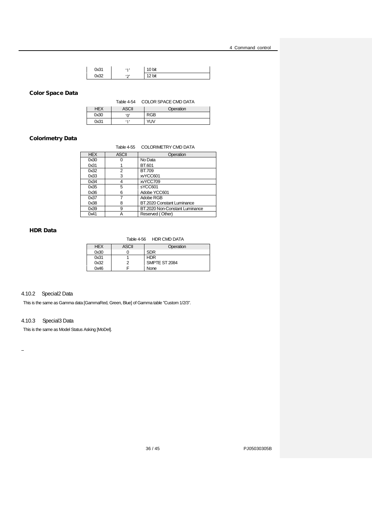| 0x31  | $5 - 7$ | 10 bit |
|-------|---------|--------|
| า∨่าว | 52      | bit    |

#### <span id="page-35-2"></span>Color Space Data

Table 4-54 COLOR SPACE CMD DATA

| HEX  | ASCII   | Operation  |
|------|---------|------------|
| 0x30 | '٥'     | RGB        |
| 0x31 | $5 - 7$ | <b>YUV</b> |

## <span id="page-35-3"></span>Colorimetry Data

Table 4-55 COLORIMETRY CMD DATA

| <b>HEX</b> | <b>ASCII</b> | Operation                      |
|------------|--------------|--------------------------------|
| 0x30       |              | No Data                        |
| 0x31       |              | BT.601                         |
| 0x32       | 2            | <b>BT.709</b>                  |
| 0x33       | 3            | xvYCC601                       |
| 0x34       | 4            | xvYCC709                       |
| 0x35       | 5            | sYCC601                        |
| 0x36       | 6            | Adobe YCC601                   |
| 0x37       |              | Adobe RGB                      |
| 0x38       | 8            | BT.2020 Constant Luminance     |
| 0x39       | 9            | BT.2020 Non-Constant Luminance |
| 0x41       | А            | Reserved (Other)               |

## <span id="page-35-4"></span>HDR Data

#### Table 4-56 HDR CMD DATA

| <b>HEX</b> | <b>ASCII</b> | Operation     |
|------------|--------------|---------------|
| 0x30       |              | <b>SDR</b>    |
| 0x31       |              | <b>HDR</b>    |
| 0x32       |              | SMPTE ST 2084 |
| 0x46       |              | None          |

## <span id="page-35-0"></span>4.10.2 Special2 Data

This is the same as Gamma data [GammaRed, Green, Blue] of Gamma table "Custom 1/2/3".

## <span id="page-35-1"></span>4.10.3 Special3 Data

This is the same as Model Status Asking [MoDel].

 $\bar{\phantom{a}}$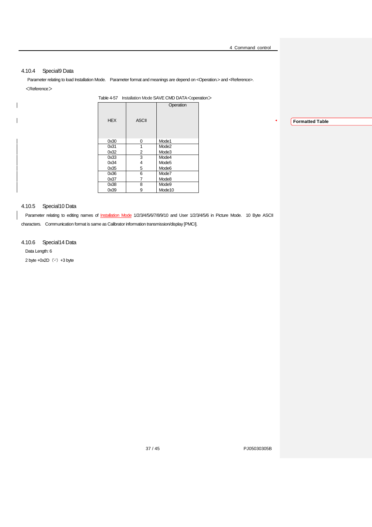## <span id="page-36-0"></span>4.10.4 Special9 Data

<span id="page-36-3"></span> $\begin{array}{c} \hline \end{array}$ 

 $\mathbf{I}$ 

Parameter relating to load Installation Mode. Parameter format and meanings are depend on <Operation.> and <Reference>. <Reference>

| Operation<br><b>HEX</b><br><b>ASCII</b><br>Mode1<br>0x30<br>0<br>1<br>Mode <sub>2</sub><br>0x31<br>2<br>Mode3<br>0x32<br>3<br>Mode4<br>0x33<br>Mode <sub>5</sub><br>0x34<br>4<br>5<br>0x35<br>Mode <sub>6</sub><br>0x36<br>6<br>Mode7<br>7<br>Mode8<br>0x37<br>8<br>Mode9<br>0x38<br>9<br>Mode <sub>10</sub><br>0x39 | Table 4-57 Installation Mode SAVE CMD DATA <operation></operation> |  |  |  |  |  |
|----------------------------------------------------------------------------------------------------------------------------------------------------------------------------------------------------------------------------------------------------------------------------------------------------------------------|--------------------------------------------------------------------|--|--|--|--|--|
|                                                                                                                                                                                                                                                                                                                      |                                                                    |  |  |  |  |  |
|                                                                                                                                                                                                                                                                                                                      |                                                                    |  |  |  |  |  |
|                                                                                                                                                                                                                                                                                                                      |                                                                    |  |  |  |  |  |
|                                                                                                                                                                                                                                                                                                                      |                                                                    |  |  |  |  |  |
|                                                                                                                                                                                                                                                                                                                      |                                                                    |  |  |  |  |  |
|                                                                                                                                                                                                                                                                                                                      |                                                                    |  |  |  |  |  |
|                                                                                                                                                                                                                                                                                                                      |                                                                    |  |  |  |  |  |
|                                                                                                                                                                                                                                                                                                                      |                                                                    |  |  |  |  |  |
|                                                                                                                                                                                                                                                                                                                      |                                                                    |  |  |  |  |  |
|                                                                                                                                                                                                                                                                                                                      |                                                                    |  |  |  |  |  |
|                                                                                                                                                                                                                                                                                                                      |                                                                    |  |  |  |  |  |

## <span id="page-36-1"></span>4.10.5 Special10 Data

Parameter relating to editing names of Installation Mode 1/2/3/4/5/67/8/9/10 and User 1/2/3/4/5/6 in Picture Mode. 10 Byte ASCII

characters. Communication format is same as Calibrator information transmission/display [PMCI].

#### <span id="page-36-2"></span>4.10.6 Special14 Data

Data Length: 6  $2$  byte  $+0x2D$   $('-)$   $+3$  byte **Formatted Table**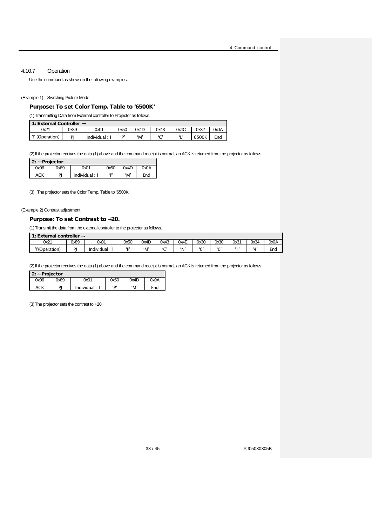## 4.10.7 Operation

<span id="page-37-0"></span>Use the command as shown in the following examples.

#### (Example 1) Switching Picture Mode

#### Purpose: To set Color Temp. Table to '6500K'

(1)Transmitting Data from External controller to Projector as follows.

| 1: External Controller $\rightarrow$ |      |             |      |      |        |      |       |      |
|--------------------------------------|------|-------------|------|------|--------|------|-------|------|
| 0x21                                 | 0x89 | 0x01        | 0x50 | 0x4D | 0x43   | 0x4C | 0x32  | A0x0 |
| l 41<br>(Operation)                  | DI   | Individual: | יםי  | ʻM'  | $\sim$ |      | 6500K | End  |

(2) If the projector receives the data (1) above and the command receipt is normal, an ACK is returned from the projector as follows.

| 2: $\leftarrow$ Projector |      |                 |            |      |      |  |  |
|---------------------------|------|-----------------|------------|------|------|--|--|
| 0x06                      | 0x89 | 0x01            | 0x50       | 0x4D | 0x0A |  |  |
| ACK                       | PJ   | Individual: $1$ | <b>'D'</b> | ʻM'  | End  |  |  |

(3) The projector sets the Color Temp. Table to '6500K'.

## (Example 2) Contrast adjustment

#### Purpose: To set Contrast to +20.

(1)Transmit the data from the external controller to the projector as follows.

| 1: External controller $\rightarrow$ |      |                   |                |      |             |      |          |        |      |           |      |
|--------------------------------------|------|-------------------|----------------|------|-------------|------|----------|--------|------|-----------|------|
| 0x21                                 | 0x89 | 0x01              | 0x50           | 0x4D | 0x43        | 0x4E | 0x30     | 0x30   | 0x31 | 0x34      | 0x0A |
| "!'(Operation)                       | DΙ   | .<br>Individual : | 5 <sub>D</sub> | ʻM   | $\sim$<br>- | "N"  | $\omega$ | $\sim$ |      | $\lambda$ | End  |

(2) If the projector receives the data (1) above and the command receipt is normal, an ACK is returned from the projector as follows.

| 2: $\leftarrow$ Projector |      |                 |      |      |      |  |
|---------------------------|------|-----------------|------|------|------|--|
| 0x06                      | 0x89 | 0x01            | 0x50 | 0x4D | 0x0A |  |
| ACK                       | PI   | Individual: $1$ | D'   | ʻM'  | End  |  |

(3)The projector sets the contrast to +20.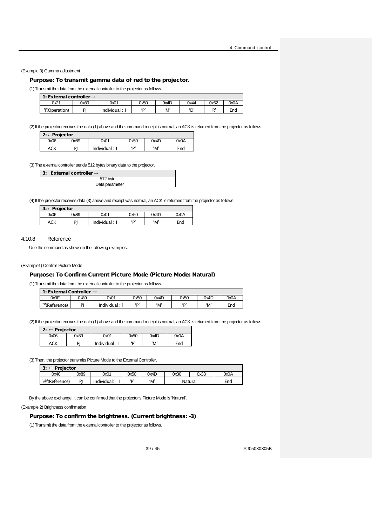(Example 3) Gamma adjustment

#### Purpose: To transmit gamma data of red to the projector.

(1)Transmit the data from the external controller to the projector as follows.

| 1: External controller $\rightarrow$ |      |             |      |      |              |      |      |  |  |
|--------------------------------------|------|-------------|------|------|--------------|------|------|--|--|
| 0x21                                 | 0x89 | 0x01        | 0x50 | 0x4D | 0x44         | 0x52 | 0x0A |  |  |
| !'(Operation)                        | וח   | Individual: | (n)  | ʻM'  | $\mathbf{D}$ | יםי  | End  |  |  |

(2) If the projector receives the data (1) above and the command receipt is normal, an ACK is returned from the projector as follows.

| 2: ← Projector |      |               |      |      |      |  |  |
|----------------|------|---------------|------|------|------|--|--|
| 0x06           | 0x89 | 0x01          | 0x50 | 0x4D | 0x0A |  |  |
| ACK            | DI   | Individual: 1 | 'D'  | 'M'  | End  |  |  |

(3)The external controller sends 512 bytes binary data to the projector.

| 3: External controller $\rightarrow$ |
|--------------------------------------|
| 512 byte                             |
| Data parameter                       |

(4) If the projector receives data (3) above and receipt was normal, an ACK is returned from the projector as follows.

| $4: \leftarrow$ Projector |      |             |      |      |      |  |  |
|---------------------------|------|-------------|------|------|------|--|--|
| 0x06                      | 0x89 | 0x01        | 0x50 | 0x4D | 0x0A |  |  |
| ACK                       | DI   | Individual: | 'D'  | 'M'  | End  |  |  |

#### 4.10.8 Reference

<span id="page-38-0"></span>Use the command as shown in the following examples.

#### (Example1) Confirm Picture Mode

#### Purpose: To Confirm Current Picture Mode (Picture Mode: Natural)

(1)Transmit the data from the external controller to the projector as follows.

1: External Controller →

| 0x3F        | 0x89 | 0x01               | 0x50 | 0x4D | 0x50 | 0x4D | A0x0          |
|-------------|------|--------------------|------|------|------|------|---------------|
| "Reference) | ומ   | → dividual .<br>In | ín   | ʻMʻ  | ín.  | ʻM'  | $\sim$<br>End |

(2) If the projector receives the data (1) above and the command receipt is normal, an ACK is returned from the projector as follows.

| <b>n</b> .<br>$\leftarrow$ Projector<br>z. |      |               |      |      |      |  |  |  |
|--------------------------------------------|------|---------------|------|------|------|--|--|--|
| 0x06                                       | 0x89 | 0x01          | 0x50 | 0x4D | 0x0A |  |  |  |
| ACK                                        | DI   | Individual: 1 | ים י | ʻM'  | End  |  |  |  |

(3)Then, the projector transmits Picture Mode to the External Controller.

| Projector<br>$2 \cdot -$<br>J. |      |             |  |      |      |         |      |      |  |
|--------------------------------|------|-------------|--|------|------|---------|------|------|--|
| 0x40                           | 0x89 | 0x01        |  | 0x50 | 0x4D | 0x30    | 0x33 | 0x0A |  |
| '@'(Reference)                 | DI   | Individual: |  | ּ'ח  | ʻM'  | Natural |      | End  |  |

By the above exchange, it can be confirmed that the projector's Picture Mode is 'Natural'.

(Example 2) Brightness confirmation

#### Purpose: To confirm the brightness. (Current brightness: -3)

(1)Transmit the data from the external controller to the projector as follows.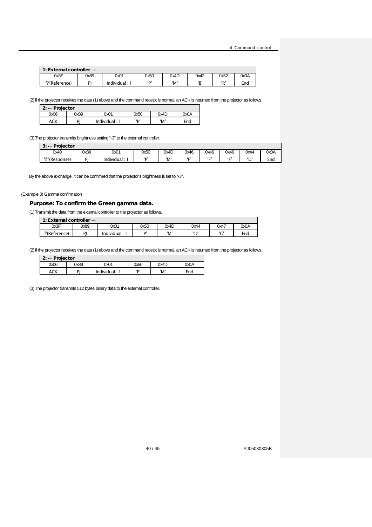|  | 1: External controller $\rightarrow$ |
|--|--------------------------------------|
|--|--------------------------------------|

| $\blacksquare$ . Later in the control $\rightarrow$ |      |            |      |      |      |        |      |  |  |
|-----------------------------------------------------|------|------------|------|------|------|--------|------|--|--|
| 0x3F                                                | 0x89 | 0x01       | 0x50 | 0x4D | 0x42 | 0x52   | A0x0 |  |  |
| י"(Reference)                                       | D    | Individual | (n)  | 'М   | (D)  | P<br>n | End  |  |  |

(2)If the projector receives the data (1) above and the command receipt is normal, an ACK is returned from the projector as follows.

| 2: $\leftarrow$ Projector |      |             |      |      |      |  |  |
|---------------------------|------|-------------|------|------|------|--|--|
| 0x06                      | 0x89 | 0x01        | 0x50 | 0x4D | 0x0A |  |  |
| ACK                       | וח   | Individual: | יםי  | ʻM'  | End  |  |  |

(3)The projector transmits brightness setting "-3" to the external controller.

| Projector<br>$\mathbf{a}$<br>s.<br>_ |      |              |                |      |      |            |                   |         |      |
|--------------------------------------|------|--------------|----------------|------|------|------------|-------------------|---------|------|
| 0x40                                 | 0x89 | 0x01         | 0x50           | 0x4D | 0x46 | 0x46       | 0x46              | 0x44    | 0x0A |
| '@'(Response)                        | DI   | Individual : | 5 <sub>2</sub> | 'M   | F    | $\epsilon$ | $\epsilon$ $\sim$ | ٠n<br>◡ | End  |

By the above exchange, it can be confirmed that the projector's brightness is set to "-3".

(Example 3) Gamma confirmation

## Purpose: To confirm the Green gamma data.

(1)Transmit the data from the external controller to the projector as follows.

| 1: External controller $\rightarrow$ |           |                |              |      |            |                |      |
|--------------------------------------|-----------|----------------|--------------|------|------------|----------------|------|
| 0x3F                                 | 0x89      | 0x01           | 0x50         | 0x4D | 0x44       | 0x47           | A0x0 |
| '?'(Reference)                       | <b>DI</b> | Individual : ˈ | $\mathbf{D}$ | ʻM'  | $\sqrt{2}$ | $\overline{ }$ | End  |

(2) If the projector receives the data (1) above and the command receipt is normal, an ACK is returned from the projector as follows.

| $2: \leftarrow$ Projector |      |               |           |      |      |
|---------------------------|------|---------------|-----------|------|------|
| 0x06                      | 0x89 | 0x01          | 0x50      | 0x4D | A0x0 |
| ACK                       | DI   | Individual: 1 | <b>'D</b> | ʻM'  | End  |

(3)The projector transmits 512 bytes binary data to the external controller.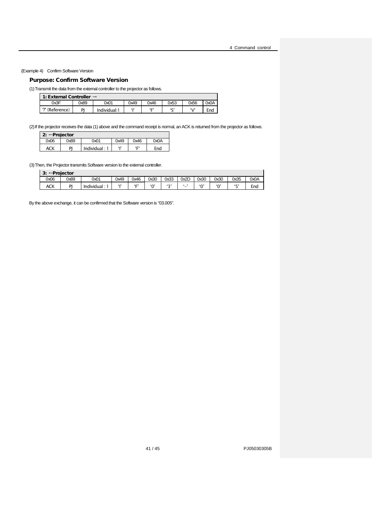(Example 4) Confirm Software Version

 $\mathsf{l}$ 

## Purpose: Confirm Software Version

(1)Transmit the data from the external controller to the projector as follows.

| 1: External Controller $\rightarrow$ |      |              |      |            |            |      |      |  |  |  |
|--------------------------------------|------|--------------|------|------------|------------|------|------|--|--|--|
| 0x3F                                 | 2x89 | 0x01         | 0x49 | 0x46       | 0x53       | 0x56 | 0x0A |  |  |  |
| ?' (Reference)                       | וח   | Individual:1 | 61)  | $^{\circ}$ | $\epsilon$ | (1)  | End  |  |  |  |

(2) If the projector receives the data (1) above and the command receipt is normal, an ACK is returned from the projector as follows.

|      | <b>2: ← Projector</b> |             |      |              |      |  |  |  |  |  |
|------|-----------------------|-------------|------|--------------|------|--|--|--|--|--|
| 0x06 | 9x89                  | 0x01        | 0x49 | 0x46         | 0x0A |  |  |  |  |  |
| ACK  | PI                    | Individual: | 41   | $\mathbf{F}$ | End  |  |  |  |  |  |

(3) Then, the Projector transmits Software version to the external controller.

| э.<br>s.   | ←Proiector |                 |      |                   |      |        |      |        |        |      |      |  |
|------------|------------|-----------------|------|-------------------|------|--------|------|--------|--------|------|------|--|
| 0x06       | 0x89       | 0x01            | 0x49 | 0x46              | 0x30 | 0x33   | 0x2D | 0x30   | 0x30   | 0x35 | 0x0A |  |
| <b>ACK</b> | DI         | .<br>Individual | 615  | $\epsilon$ $\sim$ | '∩'  | $\sim$ | -    | $\sim$ | $\sim$ | F    | End  |  |

By the above exchange, it can be confirmed that the Software version is "03.005".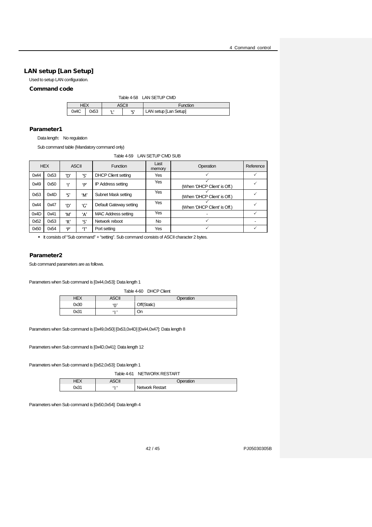## <span id="page-41-0"></span>LAN setup [Lan Setup]

Used to setup LAN configuration.

## <span id="page-41-1"></span>Command code

| Table 4-58 LAN SETUP CMD |      |     |          |                       |  |  |  |
|--------------------------|------|-----|----------|-----------------------|--|--|--|
| HEX<br>ASCII             |      |     | Function |                       |  |  |  |
| 0x4C                     | 0x53 | . . | יכי      | LAN setup [Lan Setup] |  |  |  |

#### Parameter1

Data length: No regulation

Sub command table (Mandatory command only)

## Table 4-59 LAN SETUP CMD SUB

<span id="page-41-2"></span>

|      | <b>HEX</b> |             | <b>ASCII</b> | <b>Function</b>            | Last<br>memory | Operation                    | Reference |
|------|------------|-------------|--------------|----------------------------|----------------|------------------------------|-----------|
| 0x44 | 0x53       | 'רו         | ירי          | <b>DHCP Client setting</b> | Yes            |                              |           |
| 0x49 | 0x50       | $^{\prime}$ | 'p'          | <b>IP Address setting</b>  | Yes            | (When 'DHCP Client' is Off.) |           |
| 0x53 | 0x4D       | 'ς'         | 'M'          | Subnet Mask setting        | Yes            | (When 'DHCP Client' is Off.) |           |
| 0x44 | 0x47       | ʻD'         | 'G'          | Default Gateway setting    | Yes            | (When 'DHCP Client' is Off.) |           |
| 0x4D | 0x41       | 'M'         | ʻA'          | <b>MAC Address setting</b> | Yes            |                              |           |
| 0x52 | 0x53       | 'R'         | 'ς'          | Network reboot             | <b>No</b>      |                              |           |
| 0x50 | 0x54       | D'          | (T)          | Port setting               | Yes            |                              |           |

It consists of "Sub command" + "setting". Sub command consists of ASCII character 2 bytes.

#### Parameter2

Sub command parameters are as follows.

<span id="page-41-3"></span>Parameters when Sub command is [0x44,0x53]: Data length 1

#### Table 4-60 DHCP Client

| HEX  | <b>ASCII</b> | Operation   |
|------|--------------|-------------|
| 0x30 | 'ቦ'          | Off(Static) |
| 0x31 | .            | On          |

Parameters when Sub command is [0x49,0x50] [0x53,0x4D] [0x44,0x47]: Data length 8

Parameters when Sub command is [0x4D,0x41]: Data length 12

<span id="page-41-4"></span>Parameters when Sub command is [0x52,0x53]: Data length 1

Table 4-61 NETWORK RESTART

| $\mathbf{r}$<br>$-1$ | $\sim$ |                    |
|----------------------|--------|--------------------|
| ∩∿?1<br>س ر          | п.     | Restart<br>Network |

Parameters when Sub command is [0x50,0x54]: Data length 4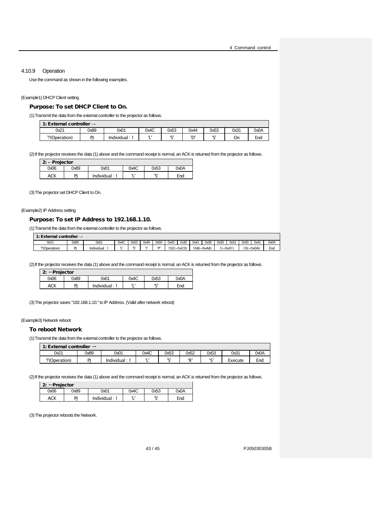#### <span id="page-42-0"></span>4.10.9 Operation

Use the command as shown in the following examples.

#### (Example1) DHCP Client setting

## Purpose: To set DHCP Client to On.

(1)Transmit the data from the external controller to the projector as follows.

|                | 1: External controller $\rightarrow$ |                   |       |      |          |                |      |      |  |  |  |
|----------------|--------------------------------------|-------------------|-------|------|----------|----------------|------|------|--|--|--|
| 0x21           | 0x89                                 | 0x01              | 0x4C  | 0x53 | 0x44     | 0x53           | 0x31 | 0x0A |  |  |  |
| "!'(Operation) | <b>DI</b>                            | <b>Individual</b> | <br>- | ורו  | ׳רי<br>◡ | $\overline{1}$ | On   | End  |  |  |  |

(2) If the projector receives the data (1) above and the command receipt is normal, an ACK is returned from the projector as follows.

| 2: ← Projector |      |               |      |      |      |
|----------------|------|---------------|------|------|------|
| 0x06           | 0x89 | 0x01          | 0x4C | 0x53 | 0x0A |
| ACK            | DI   | Individual: 1 | . .  | ici  | End  |

(3)The projector set DHCP Client to On.

#### (Example2) IP Address setting

#### Purpose: To set IP Address to 192.168.1.10.

(1)Transmit the data from the external controller to the projector as follows.

| 1: External controller $\rightarrow$ |      |             |      |      |         |      |      |                      |      |                      |      |           |              |      |      |
|--------------------------------------|------|-------------|------|------|---------|------|------|----------------------|------|----------------------|------|-----------|--------------|------|------|
| 0x21                                 | 0x89 | 0x01        | 0x4C | 0x53 | 0x49    | 0x50 | 0x43 | 0x30                 | 0x41 | 0x38                 | 0x30 | 0x31      | 0x30         | 0x4' | 0x0A |
| "(Operation)                         | DI   | Individual: |      | 1,01 | $^{41}$ | 5D   |      | $192 (=0 \times C0)$ |      | $168 (=0 \times A8)$ |      | $(=0x01)$ | $10 (=0x0A)$ |      | End  |

(2) If the projector receives the data (1) above and the command receipt is normal, an ACK is returned from the projector as follows.

| 2: $\leftarrow$ Projector<br>$\mathbf{a}$ |      |             |      |          |      |  |  |  |  |  |
|-------------------------------------------|------|-------------|------|----------|------|--|--|--|--|--|
| 0x06                                      | 9x89 | 0x01        | 0x4C | 0x53     | 0x0A |  |  |  |  |  |
| ACK                                       | DI   | Individual: | . .  | יכי<br>۰ | End  |  |  |  |  |  |

(3)The projector saves "192.168.1.10." to IP Address. (Valid after network reboot)

#### (Example3) Network reboot

 $\mathbf{r}$ 

#### To reboot Network

(1)Transmit the data from the external controller to the projector as follows.

| 1: External controller $\rightarrow$ |      |            |         |                     |              |        |         |      |  |  |  |
|--------------------------------------|------|------------|---------|---------------------|--------------|--------|---------|------|--|--|--|
| 0x21                                 | 0x89 | 0x01       | 0x4C    | 0x53                | 0x52         | 0x53   | 0x31    | A0x0 |  |  |  |
| "!'(Operation)                       | DΙ   | Individual | п.<br>- | $\overline{1}$<br>◡ | $\mathbf{D}$ | $\sim$ | Execute | End  |  |  |  |

(2) If the projector receives the data (1) above and the command receipt is normal, an ACK is returned from the projector as follows.

| 2: $\leftarrow$ Projector |      |             |      |      |      |  |  |  |  |  |
|---------------------------|------|-------------|------|------|------|--|--|--|--|--|
| 0x06                      | 0x89 | 0x01        | 0x4C | 0x53 | A0x0 |  |  |  |  |  |
| ACK                       | ומ   | Individual: | . .  | ירו  | End  |  |  |  |  |  |

(3)The projector reboots the Network.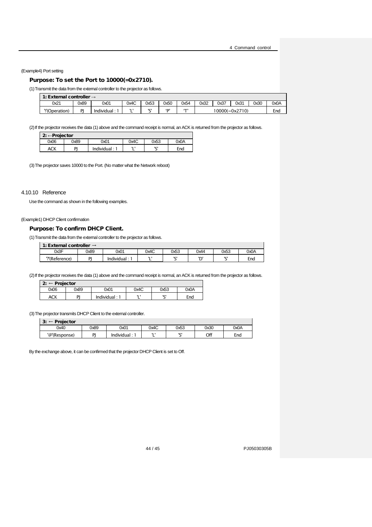(Example4) Port setting

## Purpose: To set the Port to 10000(=0x2710).

(1)Transmit the data from the external controller to the projector as follows.

| 1: External controller $\rightarrow$ |      |            |      |          |              |              |      |      |                           |      |      |
|--------------------------------------|------|------------|------|----------|--------------|--------------|------|------|---------------------------|------|------|
| 0x21                                 | 0x89 | 0x01       | 0x4C | 0x53     | 0x50         | 0x54         | 0x32 | 0x37 | 0x31                      | 0x30 | 0x0A |
| '!'(Operation)                       | DI   | Individual |      | ירו<br>- | $\mathbf{D}$ | $\mathbf{f}$ |      |      | $10000 (= 0 \times 2710)$ |      | End  |

(2) If the projector receives the data (1) above and the command receipt is normal, an ACK is returned from the projector as follows.

|      | $2: \leftarrow$ Projector |             |      |          |      |  |  |  |  |  |  |
|------|---------------------------|-------------|------|----------|------|--|--|--|--|--|--|
| 0x06 | 0x89                      | 0x01        | 0x4C | 0x53     | A0x0 |  |  |  |  |  |  |
| ACK  | ΡI                        | Individual: | 11 I | ירו<br>◡ | End  |  |  |  |  |  |  |

(3)The projector saves 10000 to the Port. (No matter what the Network reboot)

#### <span id="page-43-0"></span>4.10.10 Reference

Use the command as shown in the following examples.

(Example1) DHCP Client confirmation

#### Purpose: To confirm DHCP Client.

(1)Transmit the data from the external controller to the projector as follows.

| 1: External controller $\rightarrow$ |      |                |      |        |      |                |      |  |  |  |  |  |
|--------------------------------------|------|----------------|------|--------|------|----------------|------|--|--|--|--|--|
| 0x3F                                 | 0x89 | 0x01           | 0x4C | 0x53   | 0x44 | 0x53           | A0x0 |  |  |  |  |  |
| ?'(Reference)                        | DΙ   | <br>Individual |      | $\sim$ | ID.  | $\overline{1}$ | End  |  |  |  |  |  |

(2)If the projector receives the data (1) above and the command receipt is normal, an ACK is returned from the projector as follows.

|      | $2: \leftarrow$ Projector |             |      |      |      |  |  |  |  |  |  |
|------|---------------------------|-------------|------|------|------|--|--|--|--|--|--|
| 0x06 | 0x89                      | 0x01        | 0x4C | 0x53 | 0x0A |  |  |  |  |  |  |
| ACK  | DI                        | Individual: | . .  | ירו  | End  |  |  |  |  |  |  |

(3)The projector transmits DHCP Client to the external controller.

| Projector<br>3:<br>$\leftarrow$ |      |            |           |      |      |      |
|---------------------------------|------|------------|-----------|------|------|------|
| 0x40                            | 0x89 | 0x01       | 0x4C      | 0x53 | 0x30 | 0x0A |
| '@'(Response)                   | DI   | Individual | 11 I<br>- | ירו  | Off  | End  |

By the exchange above, it can be confirmed that the projector DHCP Client is set to Off.